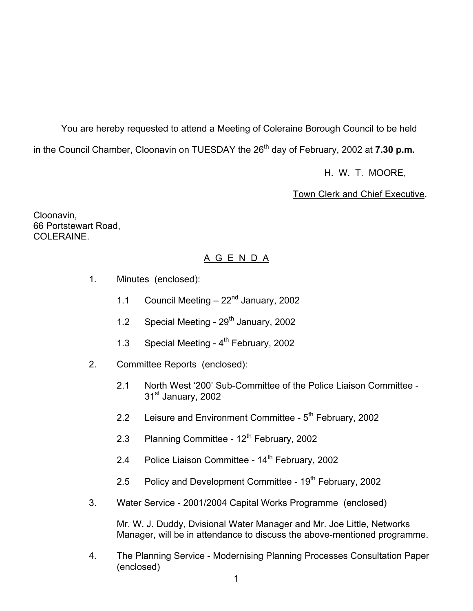You are hereby requested to attend a Meeting of Coleraine Borough Council to be held in the Council Chamber, Cloonavin on TUESDAY the 26<sup>th</sup> day of February, 2002 at **7.30 p.m.** 

H. W. T. MOORE,

**Town Clerk and Chief Executive.** 

Cloonavin, 66 Portstewart Road, COLERAINE.

# A G E N D A

- 1. Minutes (enclosed):
	- 1.1 Council Meeting  $-22<sup>nd</sup>$  January, 2002
	- 1.2 Special Meeting 29<sup>th</sup> January, 2002
	- 1.3 Special Meeting 4<sup>th</sup> February, 2002
- 2. Committee Reports (enclosed):
	- 2.1 North West '200' Sub-Committee of the Police Liaison Committee 31<sup>st</sup> January, 2002
	- 2.2 Leisure and Environment Committee 5<sup>th</sup> February, 2002
	- 2.3 Planning Committee  $12<sup>th</sup>$  February, 2002
	- 2.4 Police Liaison Committee 14<sup>th</sup> February, 2002
	- 2.5 Policy and Development Committee  $19<sup>th</sup>$  February, 2002
- 3. Water Service 2001/2004 Capital Works Programme (enclosed)

 Mr. W. J. Duddy, Dvisional Water Manager and Mr. Joe Little, Networks Manager, will be in attendance to discuss the above-mentioned programme.

4. The Planning Service - Modernising Planning Processes Consultation Paper (enclosed)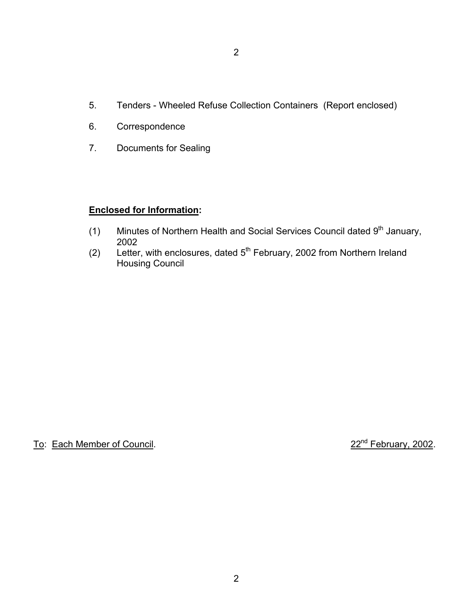- 5. Tenders Wheeled Refuse Collection Containers (Report enclosed)
- 6. Correspondence
- 7. Documents for Sealing

#### **Enclosed for Information:**

- (1) Minutes of Northern Health and Social Services Council dated  $9<sup>th</sup>$  January, 2002
- (2) Letter, with enclosures, dated 5th February, 2002 from Northern Ireland Housing Council

To: Each Member of Council. 22<sup>nd</sup> February, 2002.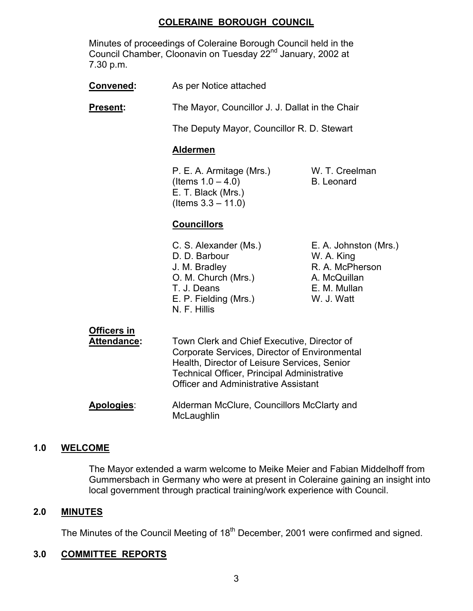# **COLERAINE BOROUGH COUNCIL**

 Minutes of proceedings of Coleraine Borough Council held in the Council Chamber, Cloonavin on Tuesday 22<sup>nd</sup> January, 2002 at 7.30 p.m.

**Convened:** As per Notice attached

**Present:** The Mayor, Councillor J. J. Dallat in the Chair

The Deputy Mayor, Councillor R. D. Stewart

#### **Aldermen**

P. E. A. Armitage (Mrs.) W. T. Creelman  $($ ltems  $1.0 - 4.0)$  B. Leonard E. T. Black (Mrs.) (Items 3.3 – 11.0)

# **Councillors**

- C. S. Alexander (Ms.) E. A. Johnston (Mrs.) D. D. Barbour W. A. King J. M. Bradley **R. A. McPherson** O. M. Church (Mrs.) A. McQuillan T. J. Deans **E. M. Mullan** E. P. Fielding (Mrs.) W. J. Watt N. F. Hillis
- 

# **Officers in**

- **Attendance:** Town Clerk and Chief Executive, Director of Corporate Services, Director of Environmental Health, Director of Leisure Services, Senior Technical Officer, Principal Administrative Officer and Administrative Assistant
- **Apologies**: Alderman McClure, Councillors McClarty and **McLaughlin**

#### **1.0 WELCOME**

 The Mayor extended a warm welcome to Meike Meier and Fabian Middelhoff from Gummersbach in Germany who were at present in Coleraine gaining an insight into local government through practical training/work experience with Council.

#### **2.0 MINUTES**

The Minutes of the Council Meeting of 18<sup>th</sup> December, 2001 were confirmed and signed.

# **3.0 COMMITTEE REPORTS**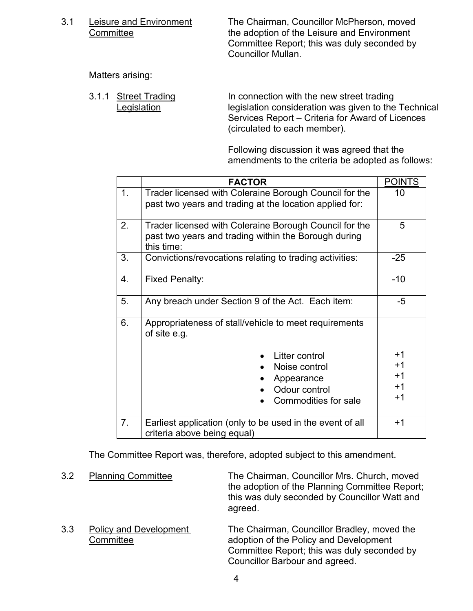3.1 Leisure and Environment The Chairman, Councillor McPherson, moved Committee **the adoption of the Leisure and Environment**  Committee Report; this was duly seconded by Councillor Mullan.

Matters arising:

3.1.1 Street Trading In connection with the new street trading Legislation legislation consideration was given to the Technical Services Report – Criteria for Award of Licences (circulated to each member).

> Following discussion it was agreed that the amendments to the criteria be adopted as follows:

|    | <b>FACTOR</b>                                                                                                                | <b>POINTS</b> |
|----|------------------------------------------------------------------------------------------------------------------------------|---------------|
| 1. | Trader licensed with Coleraine Borough Council for the<br>past two years and trading at the location applied for:            | 10            |
| 2. | Trader licensed with Coleraine Borough Council for the<br>past two years and trading within the Borough during<br>this time: | 5             |
| 3. | Convictions/revocations relating to trading activities:                                                                      | -25           |
| 4. | <b>Fixed Penalty:</b>                                                                                                        | $-10$         |
| 5. | Any breach under Section 9 of the Act. Each item:                                                                            | $-5$          |
| 6. | Appropriateness of stall/vehicle to meet requirements<br>of site e.g.                                                        |               |
|    | Litter control                                                                                                               | +1            |
|    | Noise control                                                                                                                | $+1$          |
|    | Appearance                                                                                                                   | $+1$          |
|    | Odour control                                                                                                                | $+1$          |
|    | Commodities for sale                                                                                                         | +1            |
| 7. | Earliest application (only to be used in the event of all<br>criteria above being equal)                                     | $+1$          |

The Committee Report was, therefore, adopted subject to this amendment.

 3.2 Planning Committee The Chairman, Councillor Mrs. Church, moved the adoption of the Planning Committee Report; this was duly seconded by Councillor Watt and agreed. 3.3 Policy and Development The Chairman, Councillor Bradley, moved the Committee adoption of the Policy and Development Committee Report; this was duly seconded by Councillor Barbour and agreed.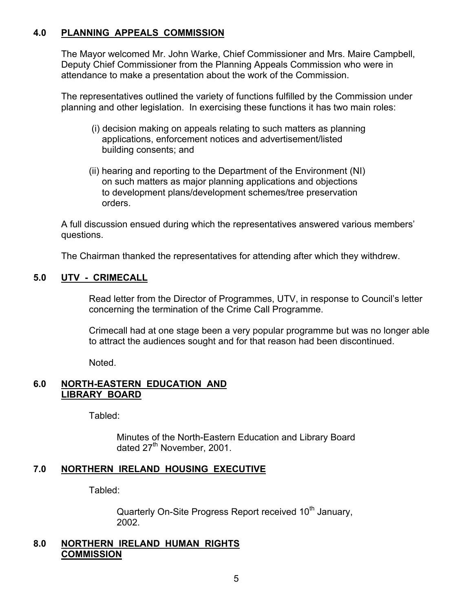### **4.0 PLANNING APPEALS COMMISSION**

 The Mayor welcomed Mr. John Warke, Chief Commissioner and Mrs. Maire Campbell, Deputy Chief Commissioner from the Planning Appeals Commission who were in attendance to make a presentation about the work of the Commission.

 The representatives outlined the variety of functions fulfilled by the Commission under planning and other legislation. In exercising these functions it has two main roles:

- (i) decision making on appeals relating to such matters as planning applications, enforcement notices and advertisement/listed building consents; and
- (ii) hearing and reporting to the Department of the Environment (NI) on such matters as major planning applications and objections to development plans/development schemes/tree preservation orders.

 A full discussion ensued during which the representatives answered various members' questions.

The Chairman thanked the representatives for attending after which they withdrew.

### **5.0 UTV - CRIMECALL**

 Read letter from the Director of Programmes, UTV, in response to Council's letter concerning the termination of the Crime Call Programme.

 Crimecall had at one stage been a very popular programme but was no longer able to attract the audiences sought and for that reason had been discontinued.

Noted.

### **6.0 NORTH-EASTERN EDUCATION AND LIBRARY BOARD**

Tabled:

 Minutes of the North-Eastern Education and Library Board dated 27<sup>th</sup> November, 2001.

# **7.0 NORTHERN IRELAND HOUSING EXECUTIVE**

Tabled:

Quarterly On-Site Progress Report received 10<sup>th</sup> January, 2002.

#### **8.0 NORTHERN IRELAND HUMAN RIGHTS COMMISSION**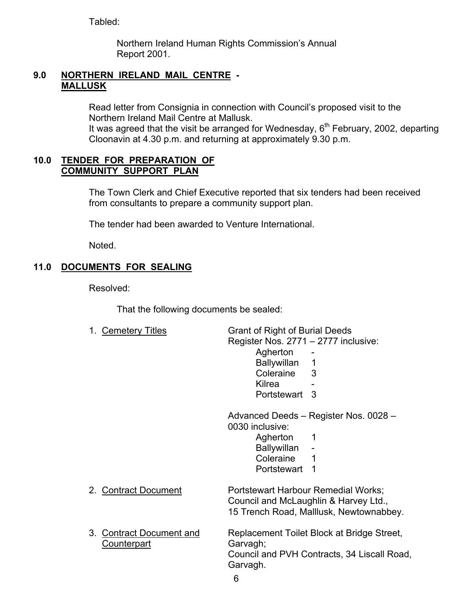Tabled:

 Northern Ireland Human Rights Commission's Annual Report 2001.

#### **9.0 NORTHERN IRELAND MAIL CENTRE - MALLUSK**

 Read letter from Consignia in connection with Council's proposed visit to the Northern Ireland Mail Centre at Mallusk.

It was agreed that the visit be arranged for Wednesday,  $6<sup>th</sup>$  February, 2002, departing Cloonavin at 4.30 p.m. and returning at approximately 9.30 p.m.

### **10.0 TENDER FOR PREPARATION OF COMMUNITY SUPPORT PLAN**

The Town Clerk and Chief Executive reported that six tenders had been received from consultants to prepare a community support plan.

The tender had been awarded to Venture International.

Noted.

# **11.0 DOCUMENTS FOR SEALING**

Resolved:

That the following documents be sealed:

| 1.<br><b>Cemetery Titles</b>                   | <b>Grant of Right of Burial Deeds</b><br>Register Nos. 2771 - 2777 inclusive:<br>Agherton<br>Ballywillan<br>1<br>Coleraine<br>3<br>Kilrea<br>Portstewart<br>3 |
|------------------------------------------------|---------------------------------------------------------------------------------------------------------------------------------------------------------------|
|                                                | Advanced Deeds - Register Nos. 0028 -<br>0030 inclusive:<br>Agherton<br>1<br>Ballywillan<br>Coleraine<br>1<br>Portstewart<br>1                                |
| 2. Contract Document                           | Portstewart Harbour Remedial Works;<br>Council and McLaughlin & Harvey Ltd.,<br>15 Trench Road, Malllusk, Newtownabbey.                                       |
| 3. Contract Document and<br><b>Counterpart</b> | Replacement Toilet Block at Bridge Street,<br>Garvagh;<br>Council and PVH Contracts, 34 Liscall Road,<br>Garvagh.<br>6                                        |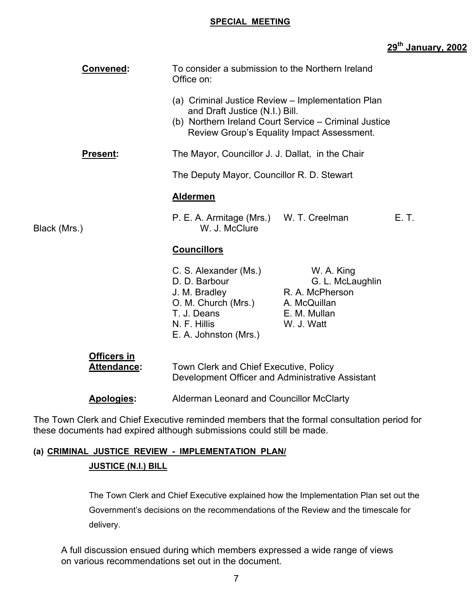#### **SPECIAL MEETING**

# **29th January, 2002**

| <b>Convened:</b>                  | To consider a submission to the Northern Ireland<br>Office on:                                                                         |                                                                                                     |       |
|-----------------------------------|----------------------------------------------------------------------------------------------------------------------------------------|-----------------------------------------------------------------------------------------------------|-------|
|                                   | (a) Criminal Justice Review – Implementation Plan<br>and Draft Justice (N.I.) Bill.                                                    | (b) Northern Ireland Court Service - Criminal Justice<br>Review Group's Equality Impact Assessment. |       |
| Present:                          | The Mayor, Councillor J. J. Dallat, in the Chair                                                                                       |                                                                                                     |       |
|                                   | The Deputy Mayor, Councillor R. D. Stewart                                                                                             |                                                                                                     |       |
|                                   | <b>Aldermen</b>                                                                                                                        |                                                                                                     |       |
| Black (Mrs.)                      | P. E. A. Armitage (Mrs.) W. T. Creelman<br>W. J. McClure                                                                               |                                                                                                     | E. T. |
|                                   | <b>Councillors</b>                                                                                                                     |                                                                                                     |       |
|                                   | C. S. Alexander (Ms.)<br>D. D. Barbour<br>J. M. Bradley<br>O. M. Church (Mrs.)<br>T. J. Deans<br>N. F. Hillis<br>E. A. Johnston (Mrs.) | W. A. King<br>G. L. McLaughlin<br>R. A. McPherson<br>A. McQuillan<br>E. M. Mullan<br>W. J. Watt     |       |
| <b>Officers in</b><br>Attendance: | Town Clerk and Chief Executive, Policy<br>Development Officer and Administrative Assistant                                             |                                                                                                     |       |
| <b>Apologies:</b>                 | Alderman Leonard and Councillor McClarty                                                                                               |                                                                                                     |       |

The Town Clerk and Chief Executive reminded members that the formal consultation period for these documents had expired although submissions could still be made.

# **(a) CRIMINAL JUSTICE REVIEW - IMPLEMENTATION PLAN/ JUSTICE (N.I.) BILL**

# The Town Clerk and Chief Executive explained how the Implementation Plan set out the Government's decisions on the recommendations of the Review and the timescale for delivery.

A full discussion ensued during which members expressed a wide range of views on various recommendations set out in the document.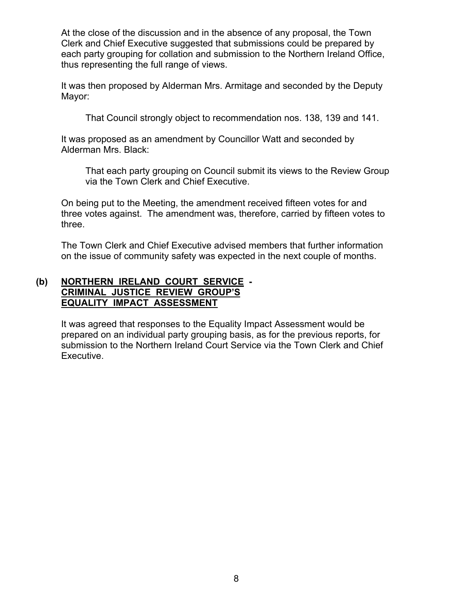At the close of the discussion and in the absence of any proposal, the Town Clerk and Chief Executive suggested that submissions could be prepared by each party grouping for collation and submission to the Northern Ireland Office, thus representing the full range of views.

 It was then proposed by Alderman Mrs. Armitage and seconded by the Deputy Mayor:

That Council strongly object to recommendation nos. 138, 139 and 141.

 It was proposed as an amendment by Councillor Watt and seconded by Alderman Mrs. Black:

 That each party grouping on Council submit its views to the Review Group via the Town Clerk and Chief Executive.

 On being put to the Meeting, the amendment received fifteen votes for and three votes against. The amendment was, therefore, carried by fifteen votes to three.

 The Town Clerk and Chief Executive advised members that further information on the issue of community safety was expected in the next couple of months.

### **(b) NORTHERN IRELAND COURT SERVICE - CRIMINAL JUSTICE REVIEW GROUP'S EQUALITY IMPACT ASSESSMENT**

 It was agreed that responses to the Equality Impact Assessment would be prepared on an individual party grouping basis, as for the previous reports, for submission to the Northern Ireland Court Service via the Town Clerk and Chief Executive.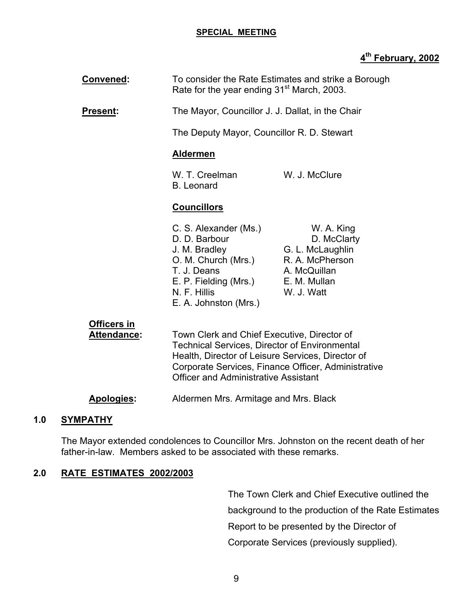#### **SPECIAL MEETING**

# **4th February, 2002**

| Convened:                         | To consider the Rate Estimates and strike a Borough<br>Rate for the year ending 31 <sup>st</sup> March, 2003.                                                                                                                                                  |                                                                                                                |
|-----------------------------------|----------------------------------------------------------------------------------------------------------------------------------------------------------------------------------------------------------------------------------------------------------------|----------------------------------------------------------------------------------------------------------------|
| <b>Present:</b>                   | The Mayor, Councillor J. J. Dallat, in the Chair                                                                                                                                                                                                               |                                                                                                                |
|                                   | The Deputy Mayor, Councillor R. D. Stewart                                                                                                                                                                                                                     |                                                                                                                |
|                                   | <b>Aldermen</b>                                                                                                                                                                                                                                                |                                                                                                                |
|                                   | W. T. Creelman<br><b>B.</b> Leonard                                                                                                                                                                                                                            | W. J. McClure                                                                                                  |
|                                   | <b>Councillors</b>                                                                                                                                                                                                                                             |                                                                                                                |
|                                   | C. S. Alexander (Ms.)<br>D. D. Barbour<br>J. M. Bradley<br>O. M. Church (Mrs.)<br>T. J. Deans<br>E. P. Fielding (Mrs.)<br>N. F. Hillis<br>E. A. Johnston (Mrs.)                                                                                                | W. A. King<br>D. McClarty<br>G. L. McLaughlin<br>R. A. McPherson<br>A. McQuillan<br>E. M. Mullan<br>W. J. Watt |
| <u>Officers in</u><br>Attendance: | Town Clerk and Chief Executive, Director of<br><b>Technical Services, Director of Environmental</b><br>Health, Director of Leisure Services, Director of<br>Corporate Services, Finance Officer, Administrative<br><b>Officer and Administrative Assistant</b> |                                                                                                                |

**Apologies:** Aldermen Mrs. Armitage and Mrs. Black

# **1.0 SYMPATHY**

 The Mayor extended condolences to Councillor Mrs. Johnston on the recent death of her father-in-law. Members asked to be associated with these remarks.

# **2.0 RATE ESTIMATES 2002/2003**

 The Town Clerk and Chief Executive outlined the background to the production of the Rate Estimates Report to be presented by the Director of Corporate Services (previously supplied).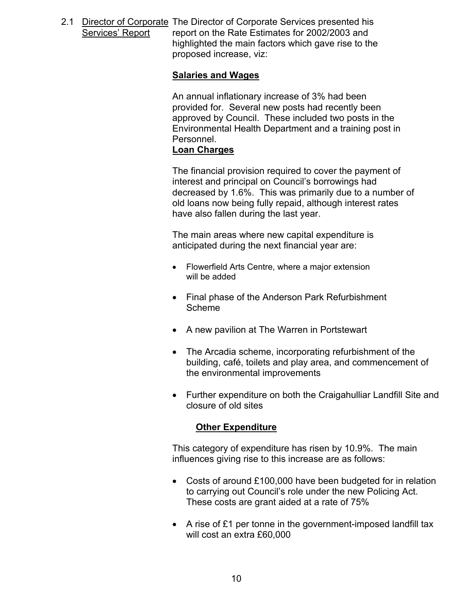2.1 Director of Corporate The Director of Corporate Services presented his Services' Report report on the Rate Estimates for 2002/2003 and highlighted the main factors which gave rise to the proposed increase, viz:

#### **Salaries and Wages**

 An annual inflationary increase of 3% had been provided for. Several new posts had recently been approved by Council. These included two posts in the Environmental Health Department and a training post in Personnel.

### **Loan Charges**

 The financial provision required to cover the payment of interest and principal on Council's borrowings had decreased by 1.6%. This was primarily due to a number of old loans now being fully repaid, although interest rates have also fallen during the last year.

 The main areas where new capital expenditure is anticipated during the next financial year are:

- Flowerfield Arts Centre, where a major extension will be added
- Final phase of the Anderson Park Refurbishment Scheme
- A new pavilion at The Warren in Portstewart
- The Arcadia scheme, incorporating refurbishment of the building, café, toilets and play area, and commencement of the environmental improvements
- Further expenditure on both the Craigahulliar Landfill Site and closure of old sites

#### **Other Expenditure**

This category of expenditure has risen by 10.9%. The main influences giving rise to this increase are as follows:

- Costs of around £100,000 have been budgeted for in relation to carrying out Council's role under the new Policing Act. These costs are grant aided at a rate of 75%
- A rise of £1 per tonne in the government-imposed landfill tax will cost an extra £60,000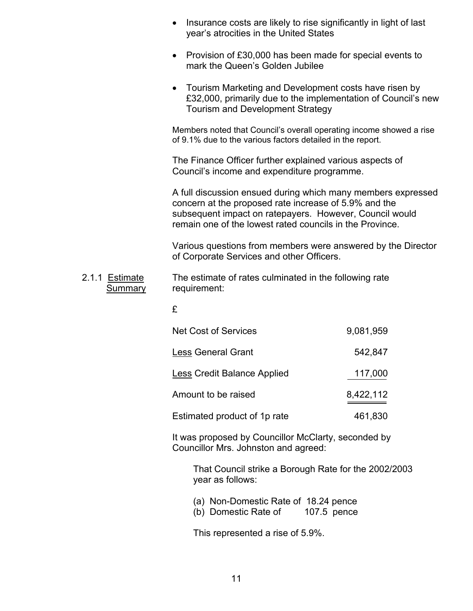|                                  | Insurance costs are likely to rise significantly in light of last<br>$\bullet$<br>year's atrocities in the United States                                                                                                                     |             |
|----------------------------------|----------------------------------------------------------------------------------------------------------------------------------------------------------------------------------------------------------------------------------------------|-------------|
|                                  | • Provision of £30,000 has been made for special events to<br>mark the Queen's Golden Jubilee                                                                                                                                                |             |
|                                  | Tourism Marketing and Development costs have risen by<br>£32,000, primarily due to the implementation of Council's new<br><b>Tourism and Development Strategy</b>                                                                            |             |
|                                  | Members noted that Council's overall operating income showed a rise<br>of 9.1% due to the various factors detailed in the report.                                                                                                            |             |
|                                  | The Finance Officer further explained various aspects of<br>Council's income and expenditure programme.                                                                                                                                      |             |
|                                  | A full discussion ensued during which many members expressed<br>concern at the proposed rate increase of 5.9% and the<br>subsequent impact on ratepayers. However, Council would<br>remain one of the lowest rated councils in the Province. |             |
|                                  | Various questions from members were answered by the Director<br>of Corporate Services and other Officers.                                                                                                                                    |             |
| 2.1.1 Estimate<br><b>Summary</b> | The estimate of rates culminated in the following rate<br>requirement:                                                                                                                                                                       |             |
|                                  | £                                                                                                                                                                                                                                            |             |
|                                  | <b>Net Cost of Services</b>                                                                                                                                                                                                                  | 9,081,959   |
|                                  | <b>Less General Grant</b>                                                                                                                                                                                                                    | 542,847     |
|                                  | <b>Less Credit Balance Applied</b>                                                                                                                                                                                                           | 117,000     |
|                                  | Amount to be raised                                                                                                                                                                                                                          | 8,422,112   |
|                                  | Estimated product of 1p rate                                                                                                                                                                                                                 | 461,830     |
|                                  | It was proposed by Councillor McClarty, seconded by<br>Councillor Mrs. Johnston and agreed:                                                                                                                                                  |             |
|                                  | That Council strike a Borough Rate for the 2002/2003<br>year as follows:                                                                                                                                                                     |             |
|                                  | (a) Non-Domestic Rate of 18.24 pence<br>(b) Domestic Rate of                                                                                                                                                                                 | 107.5 pence |
|                                  | This represented a rise of 5.9%.                                                                                                                                                                                                             |             |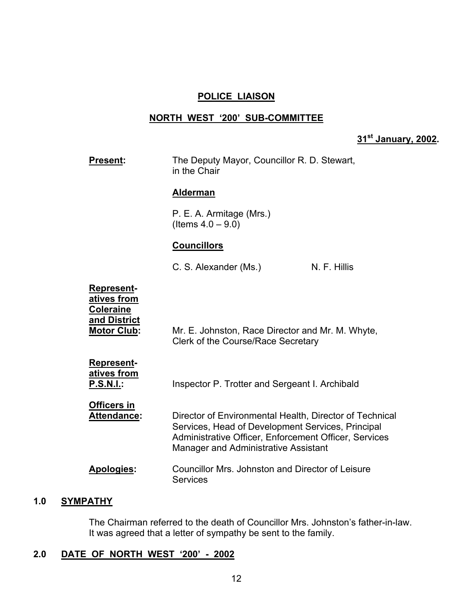#### **POLICE LIAISON**

#### **NORTH WEST '200' SUB-COMMITTEE**

# **31st January, 2002.**

| <b>Present:</b>                                                                            | The Deputy Mayor, Councillor R. D. Stewart,<br>in the Chair                                                                                                                                                          |              |
|--------------------------------------------------------------------------------------------|----------------------------------------------------------------------------------------------------------------------------------------------------------------------------------------------------------------------|--------------|
|                                                                                            | <b>Alderman</b>                                                                                                                                                                                                      |              |
|                                                                                            | P. E. A. Armitage (Mrs.)<br>(Items $4.0 - 9.0$ )                                                                                                                                                                     |              |
|                                                                                            | <b>Councillors</b>                                                                                                                                                                                                   |              |
|                                                                                            | C. S. Alexander (Ms.)                                                                                                                                                                                                | N. F. Hillis |
| <b>Represent-</b><br>atives from<br><b>Coleraine</b><br>and District<br><b>Motor Club:</b> | Mr. E. Johnston, Race Director and Mr. M. Whyte,<br>Clerk of the Course/Race Secretary                                                                                                                               |              |
| <b>Represent-</b><br>atives from<br><b>P.S.N.I.:</b>                                       | Inspector P. Trotter and Sergeant I. Archibald                                                                                                                                                                       |              |
| Officers in<br><b>Attendance:</b>                                                          | Director of Environmental Health, Director of Technical<br>Services, Head of Development Services, Principal<br>Administrative Officer, Enforcement Officer, Services<br><b>Manager and Administrative Assistant</b> |              |
| Apologies:                                                                                 | Councillor Mrs. Johnston and Director of Leisure<br><b>Services</b>                                                                                                                                                  |              |
|                                                                                            |                                                                                                                                                                                                                      |              |

#### **1.0 SYMPATHY**

 The Chairman referred to the death of Councillor Mrs. Johnston's father-in-law. It was agreed that a letter of sympathy be sent to the family.

# **2.0 DATE OF NORTH WEST '200' - 2002**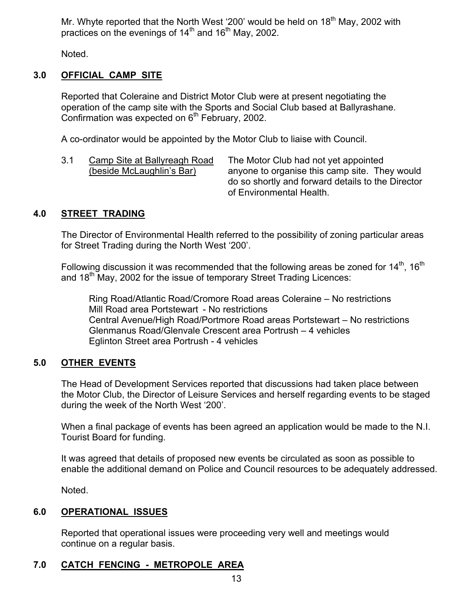Mr. Whyte reported that the North West '200' would be held on 18<sup>th</sup> May, 2002 with practices on the evenings of  $14<sup>th</sup>$  and  $16<sup>th</sup>$  May, 2002.

Noted.

# **3.0 OFFICIAL CAMP SITE**

 Reported that Coleraine and District Motor Club were at present negotiating the operation of the camp site with the Sports and Social Club based at Ballyrashane. Confirmation was expected on  $6<sup>th</sup>$  February, 2002.

A co-ordinator would be appointed by the Motor Club to liaise with Council.

3.1 Camp Site at Ballyreagh Road The Motor Club had not yet appointed (beside McLaughlin's Bar) anyone to organise this camp site. They would do so shortly and forward details to the Director of Environmental Health.

### **4.0 STREET TRADING**

The Director of Environmental Health referred to the possibility of zoning particular areas for Street Trading during the North West '200'.

Following discussion it was recommended that the following areas be zoned for  $14^{th}$ ,  $16^{th}$ and  $18<sup>th</sup>$  May, 2002 for the issue of temporary Street Trading Licences:

 Ring Road/Atlantic Road/Cromore Road areas Coleraine – No restrictions Mill Road area Portstewart - No restrictions Central Avenue/High Road/Portmore Road areas Portstewart – No restrictions Glenmanus Road/Glenvale Crescent area Portrush – 4 vehicles Eglinton Street area Portrush - 4 vehicles

# **5.0 OTHER EVENTS**

 The Head of Development Services reported that discussions had taken place between the Motor Club, the Director of Leisure Services and herself regarding events to be staged during the week of the North West '200'.

When a final package of events has been agreed an application would be made to the N.I. Tourist Board for funding.

It was agreed that details of proposed new events be circulated as soon as possible to enable the additional demand on Police and Council resources to be adequately addressed.

Noted.

# **6.0 OPERATIONAL ISSUES**

 Reported that operational issues were proceeding very well and meetings would continue on a regular basis.

# **7.0 CATCH FENCING - METROPOLE AREA**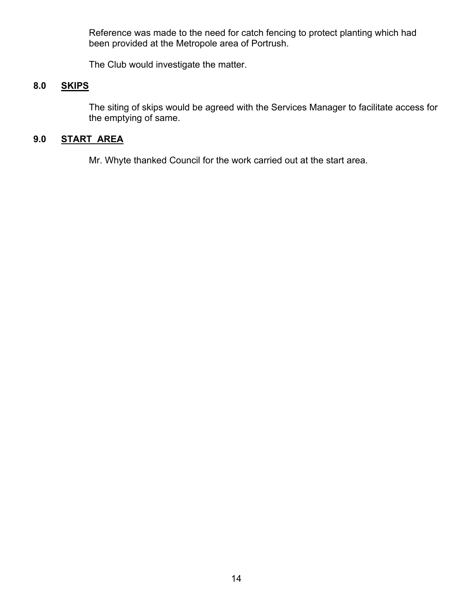Reference was made to the need for catch fencing to protect planting which had been provided at the Metropole area of Portrush.

The Club would investigate the matter.

# **8.0 SKIPS**

The siting of skips would be agreed with the Services Manager to facilitate access for the emptying of same.

# **9.0 START AREA**

Mr. Whyte thanked Council for the work carried out at the start area.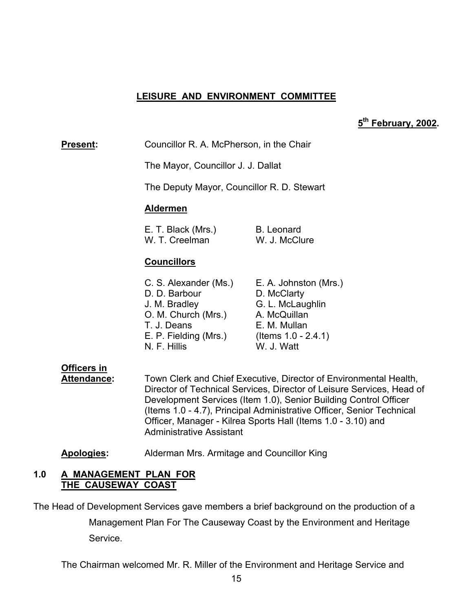# **LEISURE AND ENVIRONMENT COMMITTEE**

### **5th February, 2002.**

**Present:** Councillor R. A. McPherson, in the Chair

The Mayor, Councillor J. J. Dallat

The Deputy Mayor, Councillor R. D. Stewart

#### **Aldermen**

| E. T. Black (Mrs.) | B. Leonard    |
|--------------------|---------------|
| W. T. Creelman     | W. J. McClure |

# **Councillors**

| C. S. Alexander (Ms.) | E. A. Johnston (Mrs.)  |
|-----------------------|------------------------|
| D. D. Barbour         | D. McClarty            |
| J. M. Bradley         | G. L. McLaughlin       |
| O. M. Church (Mrs.)   | A. McQuillan           |
| T. J. Deans           | E. M. Mullan           |
| E. P. Fielding (Mrs.) | (Items $1.0 - 2.4.1$ ) |
| N. F. Hillis          | W. J. Watt             |
|                       |                        |

# **Officers in**

 **Attendance:** Town Clerk and Chief Executive, Director of Environmental Health, Director of Technical Services, Director of Leisure Services, Head of Development Services (Item 1.0), Senior Building Control Officer (Items 1.0 - 4.7), Principal Administrative Officer, Senior Technical Officer, Manager - Kilrea Sports Hall (Items 1.0 - 3.10) and Administrative Assistant

**Apologies:** Alderman Mrs. Armitage and Councillor King

#### **1.0 A MANAGEMENT PLAN FOR THE CAUSEWAY COAST**

The Head of Development Services gave members a brief background on the production of a

Management Plan For The Causeway Coast by the Environment and Heritage Service.

The Chairman welcomed Mr. R. Miller of the Environment and Heritage Service and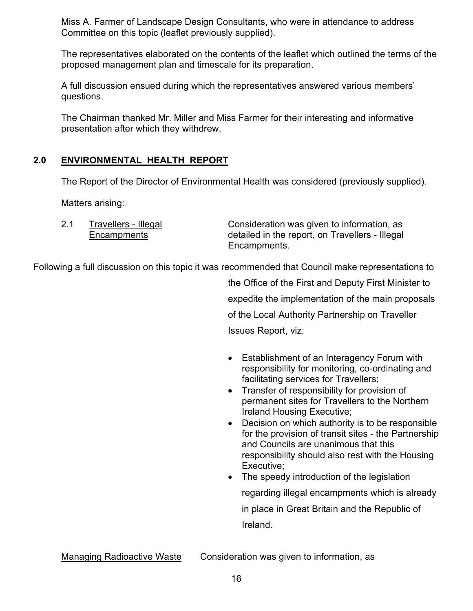Miss A. Farmer of Landscape Design Consultants, who were in attendance to address Committee on this topic (leaflet previously supplied).

The representatives elaborated on the contents of the leaflet which outlined the terms of the proposed management plan and timescale for its preparation.

A full discussion ensued during which the representatives answered various members' questions.

The Chairman thanked Mr. Miller and Miss Farmer for their interesting and informative presentation after which they withdrew.

# **2.0 ENVIRONMENTAL HEALTH REPORT**

The Report of the Director of Environmental Health was considered (previously supplied).

Matters arising:

| Travellers - Illegal | Consideration was given to information, as      |
|----------------------|-------------------------------------------------|
| Encampments          | detailed in the report, on Travellers - Illegal |
|                      | Encampments.                                    |

Following a full discussion on this topic it was recommended that Council make representations to

the Office of the First and Deputy First Minister to expedite the implementation of the main proposals of the Local Authority Partnership on Traveller Issues Report, viz:

- Establishment of an Interagency Forum with responsibility for monitoring, co-ordinating and facilitating services for Travellers;
- Transfer of responsibility for provision of permanent sites for Travellers to the Northern Ireland Housing Executive;
- Decision on which authority is to be responsible for the provision of transit sites - the Partnership and Councils are unanimous that this responsibility should also rest with the Housing Executive;
- The speedy introduction of the legislation regarding illegal encampments which is already in place in Great Britain and the Republic of Ireland.

Managing Radioactive Waste Consideration was given to information, as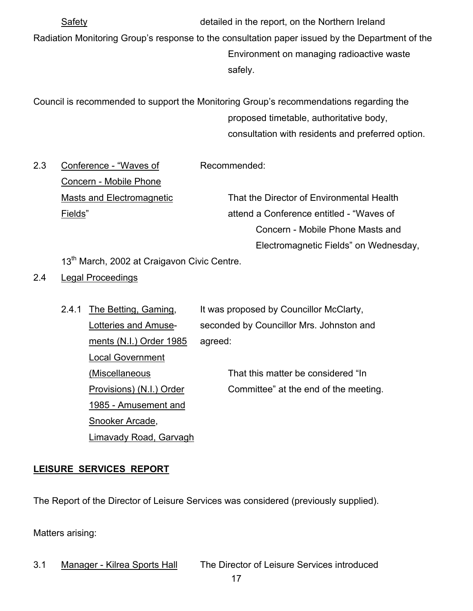Safety detailed in the report, on the Northern Ireland Radiation Monitoring Group's response to the consultation paper issued by the Department of the Environment on managing radioactive waste safely.

Council is recommended to support the Monitoring Group's recommendations regarding the proposed timetable, authoritative body, consultation with residents and preferred option.

2.3 Conference - "Waves of Recommended: Concern - Mobile Phone Masts and Electromagnetic That the Director of Environmental Health Fields" attend a Conference entitled - "Waves of Concern - Mobile Phone Masts and

Electromagnetic Fields" on Wednesday,

13<sup>th</sup> March, 2002 at Craigavon Civic Centre.

2.4 Legal Proceedings

| 2.4.1 | The Betting, Gaming,     | It was proposed by Councillor McClarty,  |
|-------|--------------------------|------------------------------------------|
|       | Lotteries and Amuse-     | seconded by Councillor Mrs. Johnston and |
|       | ments (N.I.) Order 1985  | agreed:                                  |
|       | <b>Local Government</b>  |                                          |
|       | (Miscellaneous           | That this matter be considered "In       |
|       | Provisions) (N.I.) Order | Committee" at the end of the meeting.    |
|       | 1985 - Amusement and     |                                          |
|       | Snooker Arcade,          |                                          |
|       | Limavady Road, Garvagh   |                                          |

# **LEISURE SERVICES REPORT**

The Report of the Director of Leisure Services was considered (previously supplied).

Matters arising:

3.1 Manager - Kilrea Sports Hall The Director of Leisure Services introduced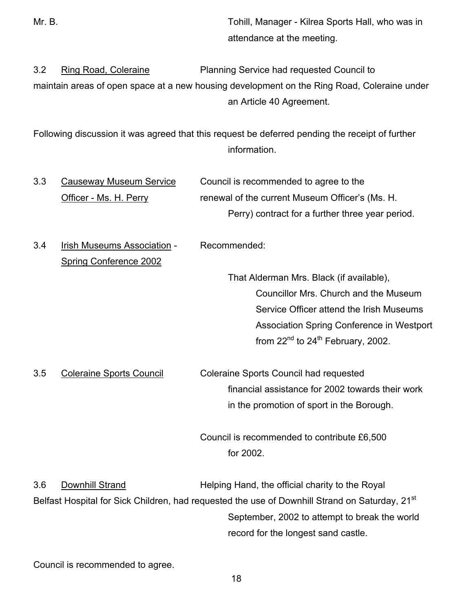Mr. B. Tohill, Manager - Kilrea Sports Hall, who was in attendance at the meeting.

3.2 Ring Road, Coleraine Planning Service had requested Council to maintain areas of open space at a new housing development on the Ring Road, Coleraine under an Article 40 Agreement.

Following discussion it was agreed that this request be deferred pending the receipt of further information.

3.3 Causeway Museum Service Council is recommended to agree to the Officer - Ms. H. Perry renewal of the current Museum Officer's (Ms. H. Perry) contract for a further three year period.

3.4 Irish Museums Association - Recommended:

Spring Conference 2002

 That Alderman Mrs. Black (if available), Councillor Mrs. Church and the Museum Service Officer attend the Irish Museums Association Spring Conference in Westport from  $22^{nd}$  to  $24^{th}$  February, 2002.

3.5 Coleraine Sports Council Coleraine Sports Council had requested financial assistance for 2002 towards their work in the promotion of sport in the Borough.

> Council is recommended to contribute £6,500 for 2002.

3.6 Downhill Strand Helping Hand, the official charity to the Royal Belfast Hospital for Sick Children, had requested the use of Downhill Strand on Saturday, 21<sup>st</sup> September, 2002 to attempt to break the world record for the longest sand castle.

Council is recommended to agree.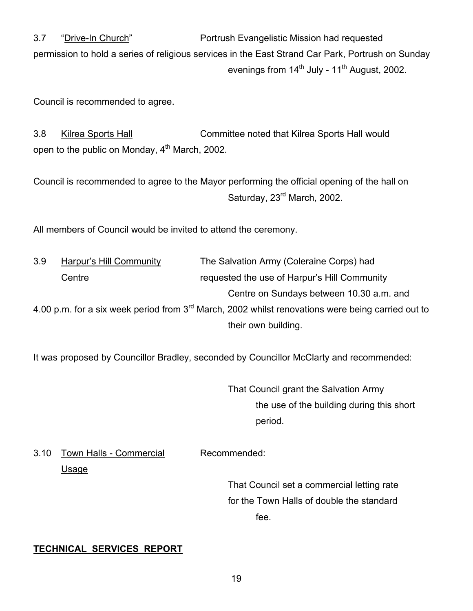3.7 "Drive-In Church" Portrush Evangelistic Mission had requested permission to hold a series of religious services in the East Strand Car Park, Portrush on Sunday evenings from  $14<sup>th</sup>$  July -  $11<sup>th</sup>$  August, 2002.

Council is recommended to agree.

3.8 Kilrea Sports Hall Committee noted that Kilrea Sports Hall would open to the public on Monday, 4<sup>th</sup> March, 2002.

Council is recommended to agree to the Mayor performing the official opening of the hall on Saturday, 23<sup>rd</sup> March, 2002.

All members of Council would be invited to attend the ceremony.

| 3.9                                                                                                 | Harpur's Hill Community | The Salvation Army (Coleraine Corps) had     |
|-----------------------------------------------------------------------------------------------------|-------------------------|----------------------------------------------|
|                                                                                                     | Centre                  | requested the use of Harpur's Hill Community |
|                                                                                                     |                         | Centre on Sundays between 10.30 a.m. and     |
| 4.00 p.m. for a six week period from $3rd$ March, 2002 whilst renovations were being carried out to |                         |                                              |
|                                                                                                     |                         | their own building.                          |

It was proposed by Councillor Bradley, seconded by Councillor McClarty and recommended:

 That Council grant the Salvation Army the use of the building during this short period.

3.10 Town Halls - Commercial Recommended: Usage

> That Council set a commercial letting rate for the Town Halls of double the standard fee.

# **TECHNICAL SERVICES REPORT**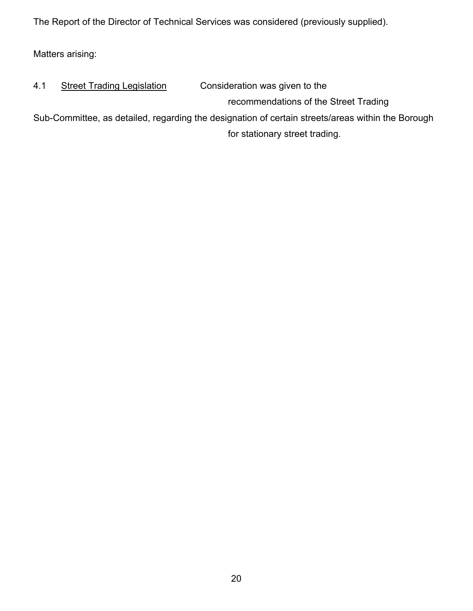The Report of the Director of Technical Services was considered (previously supplied).

Matters arising:

| 4.1                                                                                               | <b>Street Trading Legislation</b> | Consideration was given to the        |
|---------------------------------------------------------------------------------------------------|-----------------------------------|---------------------------------------|
|                                                                                                   |                                   | recommendations of the Street Trading |
| Sub-Committee, as detailed, regarding the designation of certain streets/areas within the Borough |                                   |                                       |
|                                                                                                   |                                   | for stationary street trading.        |
|                                                                                                   |                                   |                                       |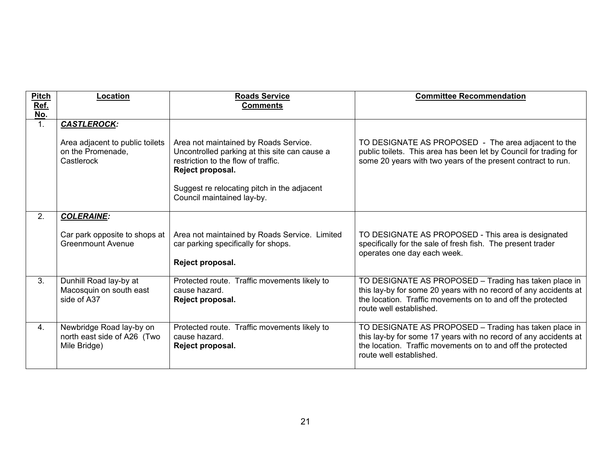| <b>Pitch</b><br>Ref.  | Location                                                                | <b>Roads Service</b><br><b>Comments</b>                                                                                                           | <b>Committee Recommendation</b>                                                                                                                                                                                     |
|-----------------------|-------------------------------------------------------------------------|---------------------------------------------------------------------------------------------------------------------------------------------------|---------------------------------------------------------------------------------------------------------------------------------------------------------------------------------------------------------------------|
| No.<br>1 <sub>1</sub> | <b>CASTLEROCK:</b>                                                      |                                                                                                                                                   |                                                                                                                                                                                                                     |
|                       |                                                                         |                                                                                                                                                   |                                                                                                                                                                                                                     |
|                       | Area adjacent to public toilets<br>on the Promenade,<br>Castlerock      | Area not maintained by Roads Service.<br>Uncontrolled parking at this site can cause a<br>restriction to the flow of traffic.<br>Reject proposal. | TO DESIGNATE AS PROPOSED - The area adjacent to the<br>public toilets. This area has been let by Council for trading for<br>some 20 years with two years of the present contract to run.                            |
|                       |                                                                         | Suggest re relocating pitch in the adjacent<br>Council maintained lay-by.                                                                         |                                                                                                                                                                                                                     |
| 2.                    | <b>COLERAINE:</b>                                                       |                                                                                                                                                   |                                                                                                                                                                                                                     |
|                       | Car park opposite to shops at<br>Greenmount Avenue                      | Area not maintained by Roads Service. Limited<br>car parking specifically for shops.<br>Reject proposal.                                          | TO DESIGNATE AS PROPOSED - This area is designated<br>specifically for the sale of fresh fish. The present trader<br>operates one day each week.                                                                    |
| 3.                    | Dunhill Road lay-by at<br>Macosquin on south east<br>side of A37        | Protected route. Traffic movements likely to<br>cause hazard.<br>Reject proposal.                                                                 | TO DESIGNATE AS PROPOSED - Trading has taken place in<br>this lay-by for some 20 years with no record of any accidents at<br>the location. Traffic movements on to and off the protected<br>route well established. |
| 4.                    | Newbridge Road lay-by on<br>north east side of A26 (Two<br>Mile Bridge) | Protected route. Traffic movements likely to<br>cause hazard.<br>Reject proposal.                                                                 | TO DESIGNATE AS PROPOSED - Trading has taken place in<br>this lay-by for some 17 years with no record of any accidents at<br>the location. Traffic movements on to and off the protected<br>route well established. |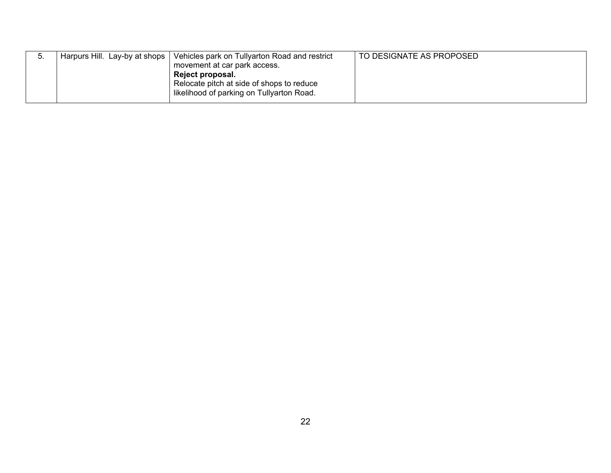| J. | Harpurs Hill. Lay-by at shops | Vehicles park on Tullyarton Road and restrict<br>movement at car park access.<br><b>Reject proposal.</b><br>Relocate pitch at side of shops to reduce<br>I likelihood of parking on Tullyarton Road. | TO DESIGNATE AS PROPOSED |
|----|-------------------------------|------------------------------------------------------------------------------------------------------------------------------------------------------------------------------------------------------|--------------------------|
|    |                               |                                                                                                                                                                                                      |                          |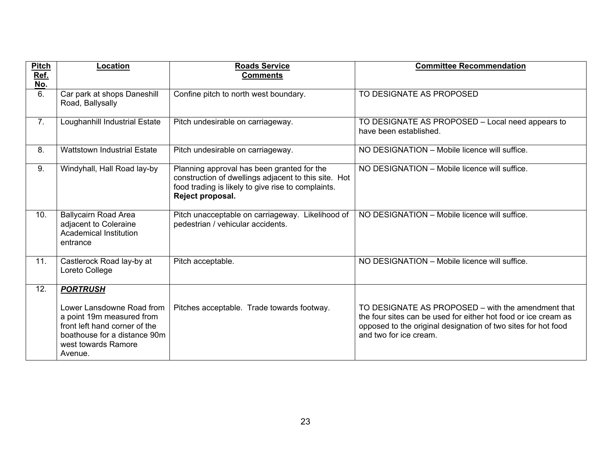| <b>Pitch</b><br>Ref.<br>No. | Location                                                                                                                                                  | <b>Roads Service</b><br><b>Comments</b>                                                                                                                                      | <b>Committee Recommendation</b>                                                                                                                                                                                 |
|-----------------------------|-----------------------------------------------------------------------------------------------------------------------------------------------------------|------------------------------------------------------------------------------------------------------------------------------------------------------------------------------|-----------------------------------------------------------------------------------------------------------------------------------------------------------------------------------------------------------------|
| 6.                          | Car park at shops Daneshill<br>Road, Ballysally                                                                                                           | Confine pitch to north west boundary.                                                                                                                                        | TO DESIGNATE AS PROPOSED                                                                                                                                                                                        |
| 7.                          | Loughanhill Industrial Estate                                                                                                                             | Pitch undesirable on carriageway.                                                                                                                                            | TO DESIGNATE AS PROPOSED - Local need appears to<br>have been established.                                                                                                                                      |
| 8.                          | <b>Wattstown Industrial Estate</b>                                                                                                                        | Pitch undesirable on carriageway.                                                                                                                                            | NO DESIGNATION - Mobile licence will suffice.                                                                                                                                                                   |
| 9.                          | Windyhall, Hall Road lay-by                                                                                                                               | Planning approval has been granted for the<br>construction of dwellings adjacent to this site. Hot<br>food trading is likely to give rise to complaints.<br>Reject proposal. | NO DESIGNATION - Mobile licence will suffice.                                                                                                                                                                   |
| 10.                         | <b>Ballycairn Road Area</b><br>adjacent to Coleraine<br><b>Academical Institution</b><br>entrance                                                         | Pitch unacceptable on carriageway. Likelihood of<br>pedestrian / vehicular accidents.                                                                                        | NO DESIGNATION - Mobile licence will suffice.                                                                                                                                                                   |
| 11.                         | Castlerock Road lay-by at<br>Loreto College                                                                                                               | Pitch acceptable.                                                                                                                                                            | NO DESIGNATION - Mobile licence will suffice.                                                                                                                                                                   |
| 12.                         | <b>PORTRUSH</b>                                                                                                                                           |                                                                                                                                                                              |                                                                                                                                                                                                                 |
|                             | Lower Lansdowne Road from<br>a point 19m measured from<br>front left hand corner of the<br>boathouse for a distance 90m<br>west towards Ramore<br>Avenue. | Pitches acceptable. Trade towards footway.                                                                                                                                   | TO DESIGNATE AS PROPOSED – with the amendment that<br>the four sites can be used for either hot food or ice cream as<br>opposed to the original designation of two sites for hot food<br>and two for ice cream. |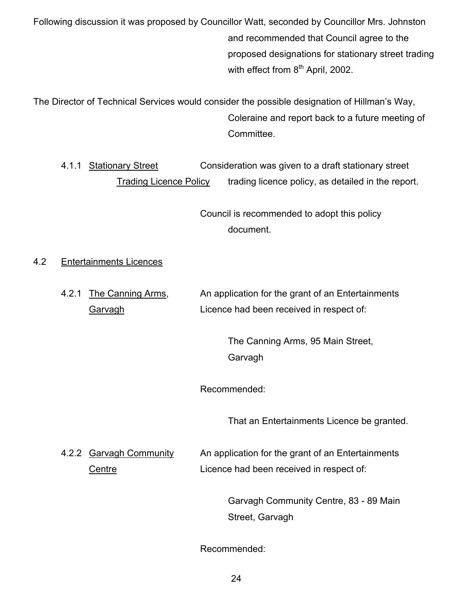Following discussion it was proposed by Councillor Watt, seconded by Councillor Mrs. Johnston and recommended that Council agree to the proposed designations for stationary street trading with effect from 8<sup>th</sup> April, 2002.

The Director of Technical Services would consider the possible designation of Hillman's Way, Coleraine and report back to a future meeting of Committee.

 4.1.1 Stationary Street Consideration was given to a draft stationary street Trading Licence Policy trading licence policy, as detailed in the report.

> Council is recommended to adopt this policy document.

# 4.2 Entertainments Licences

4.2.1 The Canning Arms, An application for the grant of an Entertainments Garvagh Licence had been received in respect of:

> The Canning Arms, 95 Main Street, Garvagh

Recommended:

That an Entertainments Licence be granted.

4.2.2 Garvagh Community An application for the grant of an Entertainments Centre **Licence had been received in respect of:** 

> Garvagh Community Centre, 83 - 89 Main Street, Garvagh

Recommended: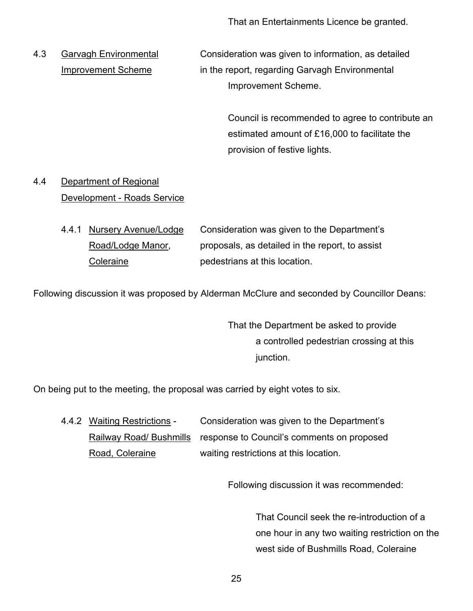That an Entertainments Licence be granted.

4.3 Garvagh Environmental Consideration was given to information, as detailed Improvement Scheme in the report, regarding Garvagh Environmental Improvement Scheme.

> Council is recommended to agree to contribute an estimated amount of £16,000 to facilitate the provision of festive lights.

# 4.4 Department of Regional Development - Roads Service

 4.4.1 Nursery Avenue/Lodge Consideration was given to the Department's Road/Lodge Manor, proposals, as detailed in the report, to assist Coleraine **pedestrians** at this location.

Following discussion it was proposed by Alderman McClure and seconded by Councillor Deans:

 That the Department be asked to provide a controlled pedestrian crossing at this junction.

On being put to the meeting, the proposal was carried by eight votes to six.

 4.4.2 Waiting Restrictions - Consideration was given to the Department's Railway Road/ Bushmills response to Council's comments on proposed Road, Coleraine **Road, Coleraine** waiting restrictions at this location.

Following discussion it was recommended:

 That Council seek the re-introduction of a one hour in any two waiting restriction on the west side of Bushmills Road, Coleraine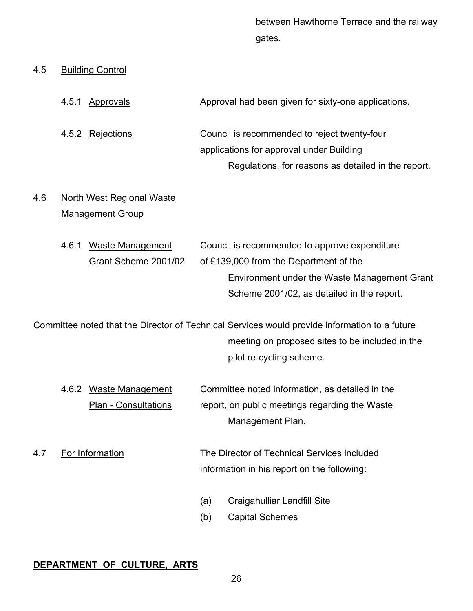between Hawthorne Terrace and the railway gates.

Regulations, for reasons as detailed in the report.

#### 4.5 Building Control

4.5.1 Approvals Approval had been given for sixty-one applications. 4.5.2 Rejections Council is recommended to reject twenty-four applications for approval under Building

# 4.6 North West Regional Waste Management Group

4.6.1 Waste Management Council is recommended to approve expenditure Grant Scheme 2001/02 of £139,000 from the Department of the Environment under the Waste Management Grant Scheme 2001/02, as detailed in the report.

Committee noted that the Director of Technical Services would provide information to a future meeting on proposed sites to be included in the pilot re-cycling scheme.

 4.6.2 Waste Management Committee noted information, as detailed in the Plan - Consultations report, on public meetings regarding the Waste Management Plan.

4.7 For Information The Director of Technical Services included information in his report on the following:

- (a) Craigahulliar Landfill Site
- (b) Capital Schemes

#### **DEPARTMENT OF CULTURE, ARTS**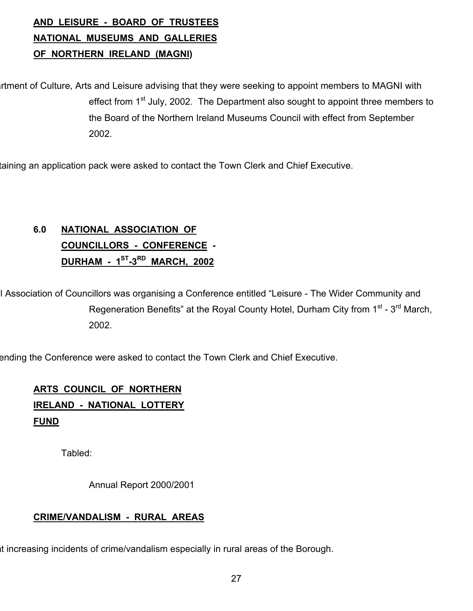# **AND LEISURE - BOARD OF TRUSTEES NATIONAL MUSEUMS AND GALLERIES OF NORTHERN IRELAND (MAGNI)**

rtment of Culture, Arts and Leisure advising that they were seeking to appoint members to MAGNI with effect from 1<sup>st</sup> July, 2002. The Department also sought to appoint three members to the Board of the Northern Ireland Museums Council with effect from September 2002.

taining an application pack were asked to contact the Town Clerk and Chief Executive.

# **6.0 NATIONAL ASSOCIATION OF COUNCILLORS - CONFERENCE - DURHAM - 1ST-3RD MARCH, 2002**

I Association of Councillors was organising a Conference entitled "Leisure - The Wider Community and Regeneration Benefits" at the Royal County Hotel, Durham City from 1<sup>st</sup> - 3<sup>rd</sup> March. 2002.

ending the Conference were asked to contact the Town Clerk and Chief Executive.

# **ARTS COUNCIL OF NORTHERN**

# **IRELAND - NATIONAL LOTTERY FUND**

Tabled:

Annual Report 2000/2001

# **CRIME/VANDALISM - RURAL AREAS**

at increasing incidents of crime/vandalism especially in rural areas of the Borough.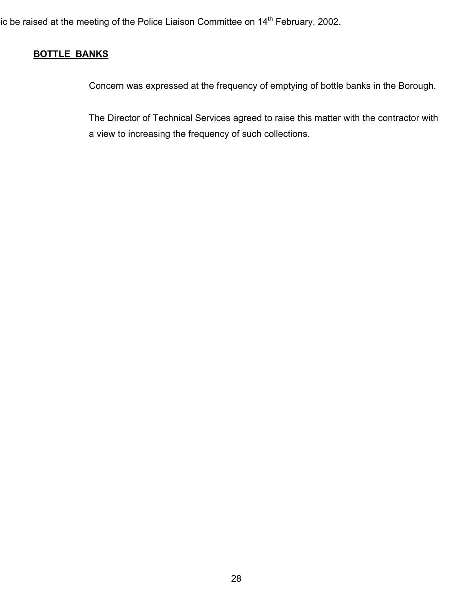ic be raised at the meeting of the Police Liaison Committee on  $14^{th}$  February, 2002.

# **BOTTLE BANKS**

Concern was expressed at the frequency of emptying of bottle banks in the Borough.

 The Director of Technical Services agreed to raise this matter with the contractor with a view to increasing the frequency of such collections.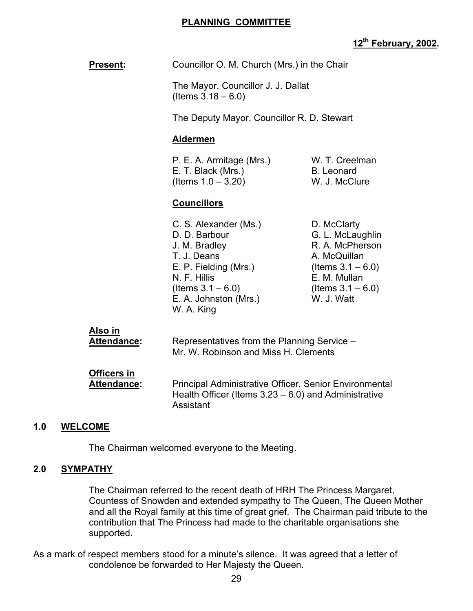#### **PLANNING COMMITTEE**

# **12th February, 2002.**

| <b>Present:</b> | Councillor O. M. Church (Mrs.) in the Chair |
|-----------------|---------------------------------------------|
|                 |                                             |

 The Mayor, Councillor J. J. Dallat  $($  I tems  $3.18 - 6.0)$ 

The Deputy Mayor, Councillor R. D. Stewart

#### **Aldermen**

| P. E. A. Armitage (Mrs.) | W. T. Creelman |
|--------------------------|----------------|
| E. T. Black (Mrs.)       | B. Leonard     |
| (Items $1.0 - 3.20$ )    | W. J. McClure  |

#### **Councillors**

C. S. Alexander (Ms.) D. McClarty D. D. Barbour G. L. McLaughlin J. M. Bradley **R. A. McPherson** T. J. Deans A. McQuillan E. P. Fielding (Mrs.) (Items  $3.1 - 6.0$ ) N. F. Hillis **E. M. Mullan** (Items  $3.1 - 6.0$ ) (Items  $3.1 - 6.0$ )<br>E. A. Johnston (Mrs.) W. J. Watt E. A. Johnston (Mrs.) W. A. King

| Also in            | Representatives from the Planning Service -             |  |
|--------------------|---------------------------------------------------------|--|
| Attendance:        | Mr. W. Robinson and Miss H. Clements                    |  |
| <b>Officers in</b> | Principal Administrative Officer, Senior Environmental  |  |
| <b>Attendance:</b> | Health Officer (Items $3.23 - 6.0$ ) and Administrative |  |

#### **1.0 WELCOME**

The Chairman welcomed everyone to the Meeting.

Assistant

#### **2.0 SYMPATHY**

 The Chairman referred to the recent death of HRH The Princess Margaret, Countess of Snowden and extended sympathy to The Queen, The Queen Mother and all the Royal family at this time of great grief. The Chairman paid tribute to the contribution that The Princess had made to the charitable organisations she supported.

As a mark of respect members stood for a minute's silence. It was agreed that a letter of condolence be forwarded to Her Majesty the Queen.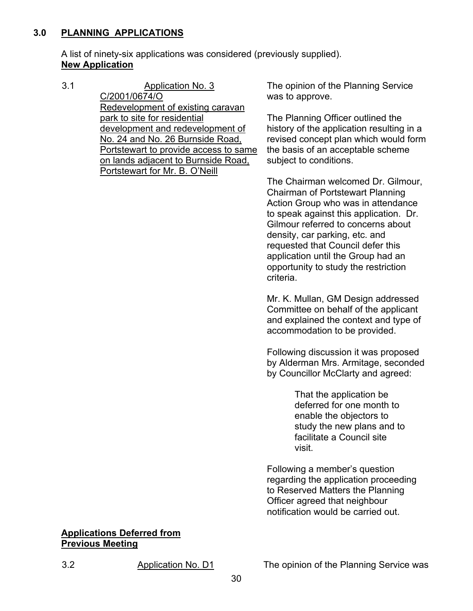# **3.0 PLANNING APPLICATIONS**

 A list of ninety-six applications was considered (previously supplied). **New Application**

3.1 Application No. 3 C/2001/0674/O Redevelopment of existing caravan park to site for residential development and redevelopment of No. 24 and No. 26 Burnside Road, Portstewart to provide access to same on lands adjacent to Burnside Road, Portstewart for Mr. B. O'Neill

The opinion of the Planning Service was to approve.

The Planning Officer outlined the history of the application resulting in a revised concept plan which would form the basis of an acceptable scheme subject to conditions.

The Chairman welcomed Dr. Gilmour, Chairman of Portstewart Planning Action Group who was in attendance to speak against this application. Dr. Gilmour referred to concerns about density, car parking, etc. and requested that Council defer this application until the Group had an opportunity to study the restriction criteria.

Mr. K. Mullan, GM Design addressed Committee on behalf of the applicant and explained the context and type of accommodation to be provided.

Following discussion it was proposed by Alderman Mrs. Armitage, seconded by Councillor McClarty and agreed:

> That the application be deferred for one month to enable the objectors to study the new plans and to facilitate a Council site visit.

Following a member's question regarding the application proceeding to Reserved Matters the Planning Officer agreed that neighbour notification would be carried out.

#### **Applications Deferred from Previous Meeting**

3.2 Application No. D1 The opinion of the Planning Service was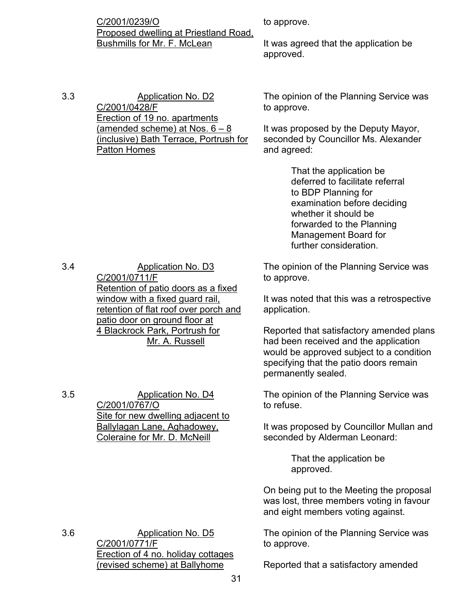C/2001/0239/O Proposed dwelling at Priestland Road, Bushmills for Mr. F. McLean

to approve.

It was agreed that the application be approved.

3.3 Application No. D2 C/2001/0428/F Erection of 19 no. apartments (amended scheme) at Nos. 6 – 8 (inclusive) Bath Terrace, Portrush for Patton Homes

The opinion of the Planning Service was to approve.

It was proposed by the Deputy Mayor, seconded by Councillor Ms. Alexander and agreed:

> That the application be deferred to facilitate referral to BDP Planning for examination before deciding whether it should be forwarded to the Planning Management Board for further consideration.

3.4 Application No. D3 C/2001/0711/F Retention of patio doors as a fixed window with a fixed guard rail, retention of flat roof over porch and patio door on ground floor at 4 Blackrock Park, Portrush for Mr. A. Russell

3.5 Application No. D4 C/2001/0767/O Site for new dwelling adjacent to Ballylagan Lane, Aghadowey, Coleraine for Mr. D. McNeill

The opinion of the Planning Service was to approve.

It was noted that this was a retrospective application.

Reported that satisfactory amended plans had been received and the application would be approved subject to a condition specifying that the patio doors remain permanently sealed.

The opinion of the Planning Service was to refuse.

It was proposed by Councillor Mullan and seconded by Alderman Leonard:

> That the application be approved.

On being put to the Meeting the proposal was lost, three members voting in favour and eight members voting against.

The opinion of the Planning Service was to approve.

Reported that a satisfactory amended

3.6 Application No. D5 C/2001/0771/F Erection of 4 no. holiday cottages (revised scheme) at Ballyhome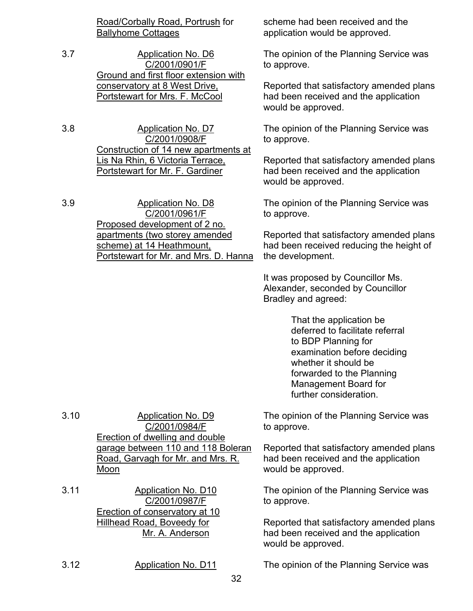Road/Corbally Road, Portrush for Ballyhome Cottages

3.7 Application No. D6 C/2001/0901/F Ground and first floor extension with conservatory at 8 West Drive, Portstewart for Mrs. F. McCool

3.8 Application No. D7 C/2001/0908/F Construction of 14 new apartments at Lis Na Rhin, 6 Victoria Terrace, Portstewart for Mr. F. Gardiner

3.9 Application No. D8 C/2001/0961/F Proposed development of 2 no. apartments (two storey amended scheme) at 14 Heathmount, Portstewart for Mr. and Mrs. D. Hanna scheme had been received and the application would be approved.

The opinion of the Planning Service was to approve.

Reported that satisfactory amended plans had been received and the application would be approved.

The opinion of the Planning Service was to approve.

Reported that satisfactory amended plans had been received and the application would be approved.

The opinion of the Planning Service was to approve.

Reported that satisfactory amended plans had been received reducing the height of the development.

It was proposed by Councillor Ms. Alexander, seconded by Councillor Bradley and agreed:

> That the application be deferred to facilitate referral to BDP Planning for examination before deciding whether it should be forwarded to the Planning Management Board for further consideration.

The opinion of the Planning Service was to approve.

Reported that satisfactory amended plans had been received and the application would be approved.

The opinion of the Planning Service was to approve.

Reported that satisfactory amended plans had been received and the application would be approved.

3.12 Application No. D11 The opinion of the Planning Service was

3.10 Application No. D9 C/2001/0984/F Erection of dwelling and double garage between 110 and 118 Boleran Road, Garvagh for Mr. and Mrs. R. Moon

3.11 Application No. D10 C/2001/0987/F Erection of conservatory at 10 Hillhead Road, Boveedy for Mr. A. Anderson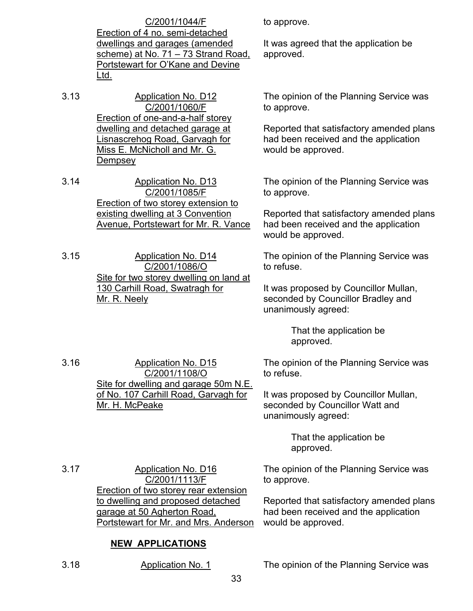C/2001/1044/F

Erection of 4 no. semi-detached dwellings and garages (amended scheme) at No. 71 – 73 Strand Road, Portstewart for O'Kane and Devine Ltd.

- 3.13 Application No. D12 C/2001/1060/F Erection of one-and-a-half storey dwelling and detached garage at Lisnascrehog Road, Garvagh for Miss E. McNicholl and Mr. G. **Dempsey**
- 3.14 Application No. D13 C/2001/1085/F Erection of two storey extension to existing dwelling at 3 Convention Avenue, Portstewart for Mr. R. Vance

3.15 Application No. D14 C/2001/1086/O Site for two storey dwelling on land at 130 Carhill Road, Swatragh for Mr. R. Neely

C/2001/1108/O

of No. 107 Carhill Road, Garvagh for

3.16 Application No. D15

Mr. H. McPeake

to approve.

It was agreed that the application be approved.

The opinion of the Planning Service was to approve.

Reported that satisfactory amended plans had been received and the application would be approved.

The opinion of the Planning Service was to approve.

Reported that satisfactory amended plans had been received and the application would be approved.

The opinion of the Planning Service was to refuse.

It was proposed by Councillor Mullan, seconded by Councillor Bradley and unanimously agreed:

> That the application be approved.

Site for dwelling and garage 50m N.E. The opinion of the Planning Service was to refuse.

> It was proposed by Councillor Mullan, seconded by Councillor Watt and unanimously agreed:

> > That the application be approved.

The opinion of the Planning Service was to approve.

Reported that satisfactory amended plans had been received and the application would be approved.

3.17 Application No. D16 C/2001/1113/F Erection of two storey rear extension to dwelling and proposed detached garage at 50 Agherton Road, Portstewart for Mr. and Mrs. Anderson

# **NEW APPLICATIONS**

3.18 Application No. 1 The opinion of the Planning Service was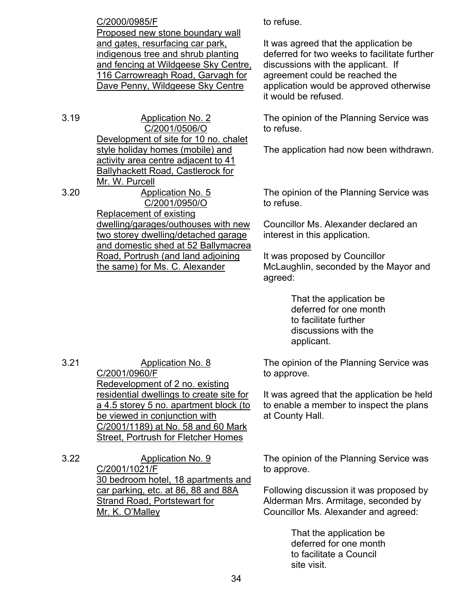C/2000/0985/F Proposed new stone boundary wall and gates, resurfacing car park, indigenous tree and shrub planting and fencing at Wildgeese Sky Centre, 116 Carrowreagh Road, Garvagh for Dave Penny, Wildgeese Sky Centre

3.19 Application No. 2 C/2001/0506/O Development of site for 10 no. chalet style holiday homes (mobile) and activity area centre adjacent to 41 Ballyhackett Road, Castlerock for Mr. W. Purcell

3.20 Application No. 5

C/2001/0950/O Replacement of existing dwelling/garages/outhouses with new two storey dwelling/detached garage and domestic shed at 52 Ballymacrea Road, Portrush (and land adjoining the same) for Ms. C. Alexander

to refuse.

It was agreed that the application be deferred for two weeks to facilitate further discussions with the applicant. If agreement could be reached the application would be approved otherwise it would be refused.

The opinion of the Planning Service was to refuse.

The application had now been withdrawn.

The opinion of the Planning Service was to refuse.

Councillor Ms. Alexander declared an interest in this application.

It was proposed by Councillor McLaughlin, seconded by the Mayor and agreed:

> That the application be deferred for one month to facilitate further discussions with the applicant.

The opinion of the Planning Service was to approve.

It was agreed that the application be held to enable a member to inspect the plans at County Hall.

3.21 Application No. 8 C/2001/0960/F Redevelopment of 2 no. existing residential dwellings to create site for a 4.5 storey 5 no. apartment block (to be viewed in conjunction with C/2001/1189) at No. 58 and 60 Mark Street, Portrush for Fletcher Homes

3.22 Application No. 9 C/2001/1021/F 30 bedroom hotel, 18 apartments and car parking, etc. at 86, 88 and 88A Strand Road, Portstewart for Mr. K. O'Malley

The opinion of the Planning Service was to approve.

Following discussion it was proposed by Alderman Mrs. Armitage, seconded by Councillor Ms. Alexander and agreed:

> That the application be deferred for one month to facilitate a Council site visit.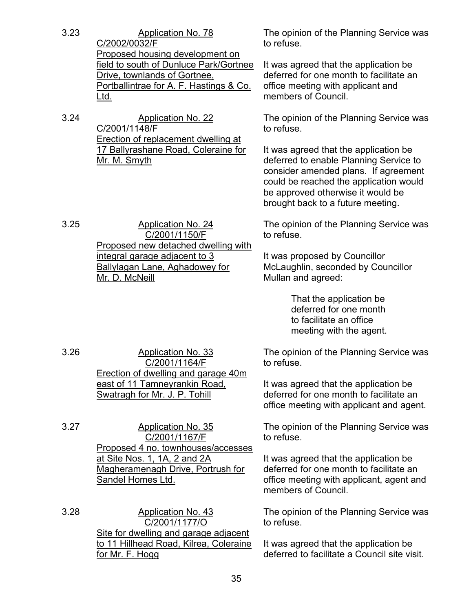| 3.23 | <b>Application No. 78</b><br>C/2002/0032/F<br>Proposed housing development on                                                    | The opinion of the Planning Service was<br>to refuse.                                                                                                                                                                                       |
|------|----------------------------------------------------------------------------------------------------------------------------------|---------------------------------------------------------------------------------------------------------------------------------------------------------------------------------------------------------------------------------------------|
|      | field to south of Dunluce Park/Gortnee<br>Drive, townlands of Gortnee,<br>Portballintrae for A. F. Hastings & Co.<br><u>Ltd.</u> | It was agreed that the application be<br>deferred for one month to facilitate an<br>office meeting with applicant and<br>members of Council.                                                                                                |
| 3.24 | <b>Application No. 22</b><br>C/2001/1148/F<br><b>Erection of replacement dwelling at</b>                                         | The opinion of the Planning Service was<br>to refuse.                                                                                                                                                                                       |
|      | 17 Ballyrashane Road, Coleraine for<br>Mr. M. Smyth                                                                              | It was agreed that the application be<br>deferred to enable Planning Service to<br>consider amended plans. If agreement<br>could be reached the application would<br>be approved otherwise it would be<br>brought back to a future meeting. |
| 3.25 | <b>Application No. 24</b><br>C/2001/1150/F                                                                                       | The opinion of the Planning Service was<br>to refuse.                                                                                                                                                                                       |
|      | Proposed new detached dwelling with<br>integral garage adjacent to 3<br><b>Ballylagan Lane, Aghadowey for</b><br>Mr. D. McNeill  | It was proposed by Councillor<br>McLaughlin, seconded by Councillor<br>Mullan and agreed:                                                                                                                                                   |
|      |                                                                                                                                  | That the application be<br>deferred for one month<br>to facilitate an office<br>meeting with the agent.                                                                                                                                     |
| 3.26 | Application No. 33<br>C/2001/1164/F<br>Erection of dwelling and garage 40m                                                       | The opinion of the Planning Service was<br>to refuse.                                                                                                                                                                                       |
|      | east of 11 Tamneyrankin Road,<br>Swatragh for Mr. J. P. Tohill                                                                   | It was agreed that the application be<br>deferred for one month to facilitate an<br>office meeting with applicant and agent.                                                                                                                |
| 3.27 | <b>Application No. 35</b><br>C/2001/1167/F<br>Proposed 4 no. townhouses/accesses                                                 | The opinion of the Planning Service was<br>to refuse.                                                                                                                                                                                       |
|      | at Site Nos. 1, 1A, 2 and 2A<br>Magheramenagh Drive, Portrush for<br><b>Sandel Homes Ltd.</b>                                    | It was agreed that the application be<br>deferred for one month to facilitate an<br>office meeting with applicant, agent and<br>members of Council.                                                                                         |
| 3.28 | <b>Application No. 43</b><br>C/2001/1177/O<br>Site for dwelling and garage adjacent                                              | The opinion of the Planning Service was<br>to refuse.                                                                                                                                                                                       |
|      | to 11 Hillhead Road, Kilrea, Coleraine<br>for Mr. F. Hogg                                                                        | It was agreed that the application be<br>deferred to facilitate a Council site visit.                                                                                                                                                       |
|      | 35                                                                                                                               |                                                                                                                                                                                                                                             |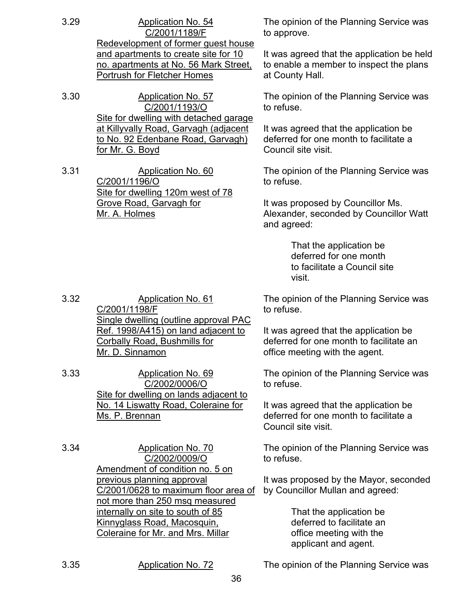- 3.29 Application No. 54 C/2001/1189/F Redevelopment of former guest house and apartments to create site for 10 no. apartments at No. 56 Mark Street, Portrush for Fletcher Homes
- 3.30 Application No. 57 C/2001/1193/O Site for dwelling with detached garage at Killyvally Road, Garvagh (adjacent to No. 92 Edenbane Road, Garvagh) for Mr. G. Boyd
- 3.31 Application No. 60 C/2001/1196/O Site for dwelling 120m west of 78 Grove Road, Garvagh for Mr. A. Holmes

3.32 Application No. 61 C/2001/1198/F

Mr. D. Sinnamon

Ms. P. Brennan

3.33 Application No. 69

3.34 Application No. 70

previous planning approval

Single dwelling (outline approval PAC Ref. 1998/A415) on land adjacent to

C/2002/0006/O Site for dwelling on lands adjacent to No. 14 Liswatty Road, Coleraine for

C/2002/0009/O Amendment of condition no. 5 on

C/2001/0628 to maximum floor area of not more than 250 msq measured internally on site to south of 85 Kinnyglass Road, Macosquin, Coleraine for Mr. and Mrs. Millar

Corbally Road, Bushmills for

The opinion of the Planning Service was to approve.

It was agreed that the application be held to enable a member to inspect the plans at County Hall.

The opinion of the Planning Service was to refuse.

It was agreed that the application be deferred for one month to facilitate a Council site visit.

The opinion of the Planning Service was to refuse.

It was proposed by Councillor Ms. Alexander, seconded by Councillor Watt and agreed:

> That the application be deferred for one month to facilitate a Council site visit.

The opinion of the Planning Service was to refuse.

It was agreed that the application be deferred for one month to facilitate an office meeting with the agent.

The opinion of the Planning Service was to refuse.

It was agreed that the application be deferred for one month to facilitate a Council site visit.

The opinion of the Planning Service was to refuse.

It was proposed by the Mayor, seconded by Councillor Mullan and agreed:

> That the application be deferred to facilitate an office meeting with the applicant and agent.

3.35 Application No. 72 The opinion of the Planning Service was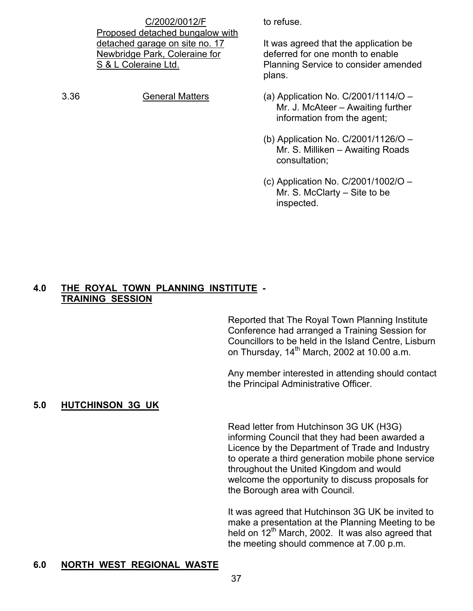C/2002/0012/F Proposed detached bungalow with detached garage on site no. 17 Newbridge Park, Coleraine for S & L Coleraine Ltd.

3.36 General Matters (a) Application No. C/2001/1114/O –

to refuse.

It was agreed that the application be deferred for one month to enable Planning Service to consider amended plans.

- Mr. J. McAteer Awaiting further information from the agent;
- (b) Application No. C/2001/1126/O Mr. S. Milliken – Awaiting Roads consultation;
- (c) Application No. C/2001/1002/O Mr. S. McClarty – Site to be inspected.

#### **4.0 THE ROYAL TOWN PLANNING INSTITUTE - TRAINING SESSION**

 Reported that The Royal Town Planning Institute Conference had arranged a Training Session for Councillors to be held in the Island Centre, Lisburn on Thursday,  $14<sup>th</sup>$  March, 2002 at 10.00 a.m.

 Any member interested in attending should contact the Principal Administrative Officer.

# **5.0 HUTCHINSON 3G UK**

 Read letter from Hutchinson 3G UK (H3G) informing Council that they had been awarded a Licence by the Department of Trade and Industry to operate a third generation mobile phone service throughout the United Kingdom and would welcome the opportunity to discuss proposals for the Borough area with Council.

 It was agreed that Hutchinson 3G UK be invited to make a presentation at the Planning Meeting to be held on  $12<sup>th</sup>$  March, 2002. It was also agreed that the meeting should commence at 7.00 p.m.

#### **6.0 NORTH WEST REGIONAL WASTE**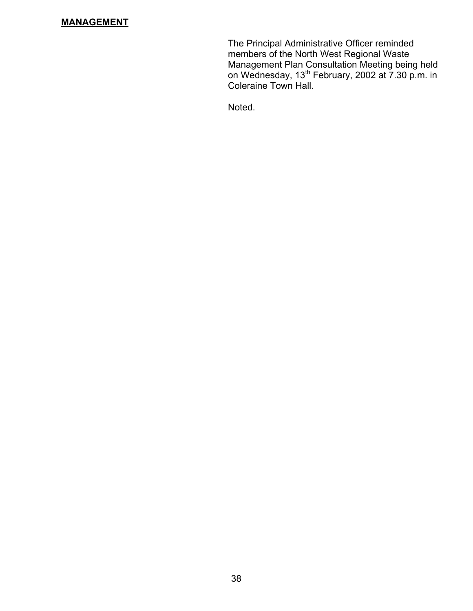# **MANAGEMENT**

The Principal Administrative Officer reminded members of the North West Regional Waste Management Plan Consultation Meeting being held on Wednesday, 13<sup>th</sup> February, 2002 at 7.30 p.m. in Coleraine Town Hall.

Noted.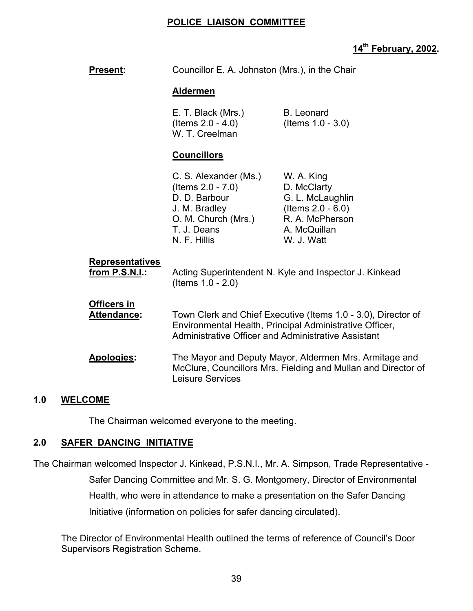# **POLICE LIAISON COMMITTEE**

# **14th February, 2002.**

| Present:                                 | Councillor E. A. Johnston (Mrs.), in the Chair                                                                                        |                                                                                                                          |
|------------------------------------------|---------------------------------------------------------------------------------------------------------------------------------------|--------------------------------------------------------------------------------------------------------------------------|
|                                          | <b>Aldermen</b>                                                                                                                       |                                                                                                                          |
|                                          | E. T. Black (Mrs.)<br>(Items $2.0 - 4.0$ )<br>W. T. Creelman                                                                          | <b>B.</b> Leonard<br>(Items $1.0 - 3.0$ )                                                                                |
|                                          | <b>Councillors</b>                                                                                                                    |                                                                                                                          |
|                                          | C. S. Alexander (Ms.)<br>(Items $2.0 - 7.0$ )<br>D. D. Barbour<br>J. M. Bradley<br>O. M. Church (Mrs.)<br>T. J. Deans<br>N. F. Hillis | W. A. King<br>D. McClarty<br>G. L. McLaughlin<br>(Items $2.0 - 6.0$ )<br>R. A. McPherson<br>A. McQuillan<br>W. J. Watt   |
| <b>Representatives</b><br>from P.S.N.I.: | (Items $1.0 - 2.0$ )                                                                                                                  | Acting Superintendent N. Kyle and Inspector J. Kinkead                                                                   |
| Officers in<br>Attendance:               | <b>Administrative Officer and Administrative Assistant</b>                                                                            | Town Clerk and Chief Executive (Items 1.0 - 3.0), Director of<br>Environmental Health, Principal Administrative Officer, |
| Apologies:                               | <b>Leisure Services</b>                                                                                                               | The Mayor and Deputy Mayor, Aldermen Mrs. Armitage and<br>McClure, Councillors Mrs. Fielding and Mullan and Director of  |

#### **1.0 WELCOME**

The Chairman welcomed everyone to the meeting.

# **2.0 SAFER DANCING INITIATIVE**

The Chairman welcomed Inspector J. Kinkead, P.S.N.I., Mr. A. Simpson, Trade Representative - Safer Dancing Committee and Mr. S. G. Montgomery, Director of Environmental Health, who were in attendance to make a presentation on the Safer Dancing Initiative (information on policies for safer dancing circulated).

The Director of Environmental Health outlined the terms of reference of Council's Door Supervisors Registration Scheme.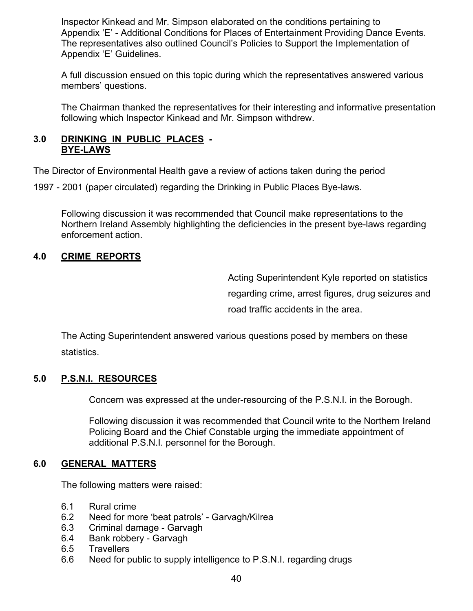Inspector Kinkead and Mr. Simpson elaborated on the conditions pertaining to Appendix 'E' - Additional Conditions for Places of Entertainment Providing Dance Events. The representatives also outlined Council's Policies to Support the Implementation of Appendix 'E' Guidelines.

A full discussion ensued on this topic during which the representatives answered various members' questions.

The Chairman thanked the representatives for their interesting and informative presentation following which Inspector Kinkead and Mr. Simpson withdrew.

#### **3.0 DRINKING IN PUBLIC PLACES - BYE-LAWS**

The Director of Environmental Health gave a review of actions taken during the period

1997 - 2001 (paper circulated) regarding the Drinking in Public Places Bye-laws.

Following discussion it was recommended that Council make representations to the Northern Ireland Assembly highlighting the deficiencies in the present bye-laws regarding enforcement action.

### **4.0 CRIME REPORTS**

 Acting Superintendent Kyle reported on statistics regarding crime, arrest figures, drug seizures and road traffic accidents in the area.

 The Acting Superintendent answered various questions posed by members on these statistics.

#### **5.0 P.S.N.I. RESOURCES**

Concern was expressed at the under-resourcing of the P.S.N.I. in the Borough.

Following discussion it was recommended that Council write to the Northern Ireland Policing Board and the Chief Constable urging the immediate appointment of additional P.S.N.I. personnel for the Borough.

#### **6.0 GENERAL MATTERS**

The following matters were raised:

- 6.1 Rural crime
- 6.2 Need for more 'beat patrols' Garvagh/Kilrea
- 6.3 Criminal damage Garvagh
- 6.4 Bank robbery Garvagh
- 6.5 Travellers
- 6.6 Need for public to supply intelligence to P.S.N.I. regarding drugs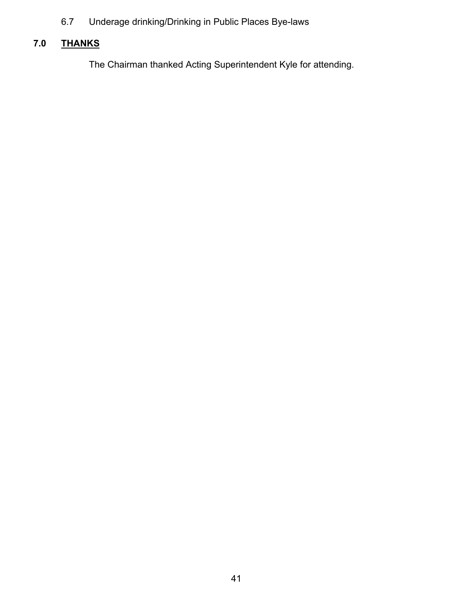6.7 Underage drinking/Drinking in Public Places Bye-laws

# **7.0 THANKS**

The Chairman thanked Acting Superintendent Kyle for attending.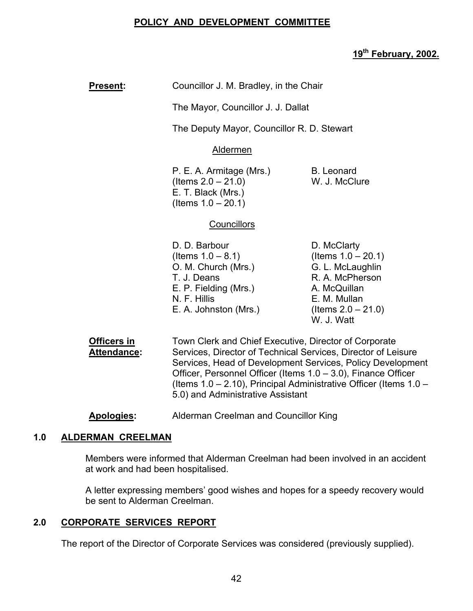# **POLICY AND DEVELOPMENT COMMITTEE**

# **19th February, 2002.**

| <b>Present:</b>            | Councillor J. M. Bradley, in the Chair                                                                                                                                             |                                                                                                                                                    |  |
|----------------------------|------------------------------------------------------------------------------------------------------------------------------------------------------------------------------------|----------------------------------------------------------------------------------------------------------------------------------------------------|--|
|                            | The Mayor, Councillor J. J. Dallat                                                                                                                                                 |                                                                                                                                                    |  |
|                            | The Deputy Mayor, Councillor R. D. Stewart                                                                                                                                         |                                                                                                                                                    |  |
|                            | <b>Aldermen</b>                                                                                                                                                                    |                                                                                                                                                    |  |
|                            | P. E. A. Armitage (Mrs.)<br>(Items $2.0 - 21.0$ )<br>E. T. Black (Mrs.)<br>(Items $1.0 - 20.1$ )                                                                                   | <b>B.</b> Leonard<br>W. J. McClure                                                                                                                 |  |
|                            | <b>Councillors</b>                                                                                                                                                                 |                                                                                                                                                    |  |
|                            | D. D. Barbour<br>(Items $1.0 - 8.1$ )<br>O. M. Church (Mrs.)<br>T. J. Deans<br>E. P. Fielding (Mrs.)<br>N. F. Hillis<br>E. A. Johnston (Mrs.)                                      | D. McClarty<br>(Items $1.0 - 20.1$ )<br>G. L. McLaughlin<br>R. A. McPherson<br>A. McQuillan<br>E. M. Mullan<br>(Items $2.0 - 21.0$ )<br>W. J. Watt |  |
| Officers in<br>Attendance: | Town Clerk and Chief Executive, Director of Corporate<br>Services, Director of Technical Services, Director of Leisure<br>Services, Head of Development Services, Policy Developme |                                                                                                                                                    |  |

s, Head of Development Services, Policy Development Officer, Personnel Officer (Items 1.0 – 3.0), Finance Officer (Items 1.0 – 2.10), Principal Administrative Officer (Items 1.0 – 5.0) and Administrative Assistant

**Apologies:** Alderman Creelman and Councillor King

#### **1.0 ALDERMAN CREELMAN**

 Members were informed that Alderman Creelman had been involved in an accident at work and had been hospitalised.

 A letter expressing members' good wishes and hopes for a speedy recovery would be sent to Alderman Creelman.

### **2.0 CORPORATE SERVICES REPORT**

The report of the Director of Corporate Services was considered (previously supplied).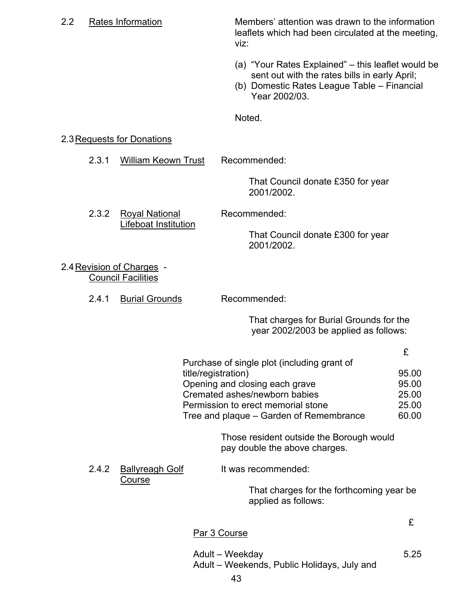| 2.2 |       | Rates Information                                      | Members' attention was drawn to the information<br>leaflets which had been circulated at the meeting,<br>viz:                                                       |
|-----|-------|--------------------------------------------------------|---------------------------------------------------------------------------------------------------------------------------------------------------------------------|
|     |       |                                                        | (a) "Your Rates Explained" – this leaflet would be<br>sent out with the rates bills in early April;<br>(b) Domestic Rates League Table - Financial<br>Year 2002/03. |
|     |       |                                                        | Noted.                                                                                                                                                              |
|     |       | 2.3 Requests for Donations                             |                                                                                                                                                                     |
|     | 2.3.1 | <b>William Keown Trust</b>                             | Recommended:                                                                                                                                                        |
|     |       |                                                        | That Council donate £350 for year<br>2001/2002.                                                                                                                     |
|     | 2.3.2 | <b>Royal National</b>                                  | Recommended:                                                                                                                                                        |
|     |       | Lifeboat Institution                                   | That Council donate £300 for year<br>2001/2002.                                                                                                                     |
|     |       | 2.4 Revision of Charges -<br><b>Council Facilities</b> |                                                                                                                                                                     |
|     | 2.4.1 | <b>Burial Grounds</b>                                  | Recommended:                                                                                                                                                        |
|     |       |                                                        | That charges for Burial Grounds for the                                                                                                                             |

year 2002/2003 be applied as follows:

| Purchase of single plot (including grant of |       |
|---------------------------------------------|-------|
| title/registration)                         | 95.00 |
| Opening and closing each grave              | 95.00 |
| Cremated ashes/newborn babies               | 25.00 |
| Permission to erect memorial stone          | 25.00 |
| Tree and plaque – Garden of Remembrance     | 60.00 |
|                                             |       |

 Those resident outside the Borough would pay double the above charges.

2.4.2 Ballyreagh Golf It was recommended:

**Course** 

 That charges for the forthcoming year be applied as follows:

# Par 3 Course

Adult – Weekday 5.25 Adult – Weekends, Public Holidays, July and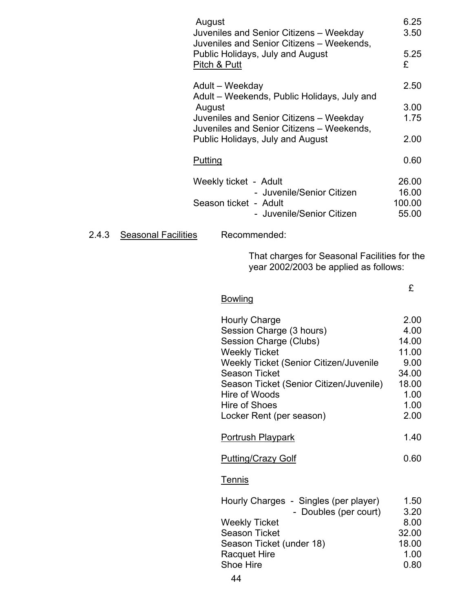|       |                            | August                                                                        | Juveniles and Senior Citizens - Weekday<br>Juveniles and Senior Citizens - Weekends,                                                                                                                                                                                          | 6.25<br>3.50                                                                     |
|-------|----------------------------|-------------------------------------------------------------------------------|-------------------------------------------------------------------------------------------------------------------------------------------------------------------------------------------------------------------------------------------------------------------------------|----------------------------------------------------------------------------------|
|       |                            | Public Holidays, July and August<br>Pitch & Putt                              | 5.25<br>£                                                                                                                                                                                                                                                                     |                                                                                  |
|       |                            |                                                                               | Adult - Weekday<br>Adult - Weekends, Public Holidays, July and                                                                                                                                                                                                                | 2.50                                                                             |
|       |                            | August<br>Juveniles and Senior Citizens - Weekday                             | 3.00<br>1.75                                                                                                                                                                                                                                                                  |                                                                                  |
|       |                            | Juveniles and Senior Citizens - Weekends,<br>Public Holidays, July and August | 2.00                                                                                                                                                                                                                                                                          |                                                                                  |
|       |                            | <b>Putting</b>                                                                |                                                                                                                                                                                                                                                                               | 0.60                                                                             |
|       |                            |                                                                               | Weekly ticket - Adult<br>- Juvenile/Senior Citizen<br>Season ticket - Adult<br>- Juvenile/Senior Citizen                                                                                                                                                                      | 26.00<br>16.00<br>100.00<br>55.00                                                |
| 2.4.3 | <b>Seasonal Facilities</b> |                                                                               | Recommended:                                                                                                                                                                                                                                                                  |                                                                                  |
|       |                            |                                                                               | That charges for Seasonal Facilities for the<br>year 2002/2003 be applied as follows:                                                                                                                                                                                         |                                                                                  |
|       |                            |                                                                               | <b>Bowling</b>                                                                                                                                                                                                                                                                | £                                                                                |
|       |                            |                                                                               | <b>Hourly Charge</b><br>Session Charge (3 hours)<br>Session Charge (Clubs)<br><b>Weekly Ticket</b><br>Weekly Ticket (Senior Citizen/Juvenile<br><b>Season Ticket</b><br>Season Ticket (Senior Citizen/Juvenile)<br>Hire of Woods<br>Hire of Shoes<br>Locker Rent (per season) | 2.00<br>4.00<br>14.00<br>11.00<br>9.00<br>34.00<br>18.00<br>1.00<br>1.00<br>2.00 |
|       |                            |                                                                               | <b>Portrush Playpark</b>                                                                                                                                                                                                                                                      | 1.40                                                                             |

Putting/Crazy Golf 0.60

# **Tennis**

| Hourly Charges - Singles (per player) | 1.50  |
|---------------------------------------|-------|
| - Doubles (per court)                 | 3.20  |
| <b>Weekly Ticket</b>                  | 8.00  |
| <b>Season Ticket</b>                  | 32.00 |
| Season Ticket (under 18)              | 18.00 |
| <b>Racquet Hire</b>                   | 1.00  |
| Shoe Hire                             | 0.80  |
|                                       |       |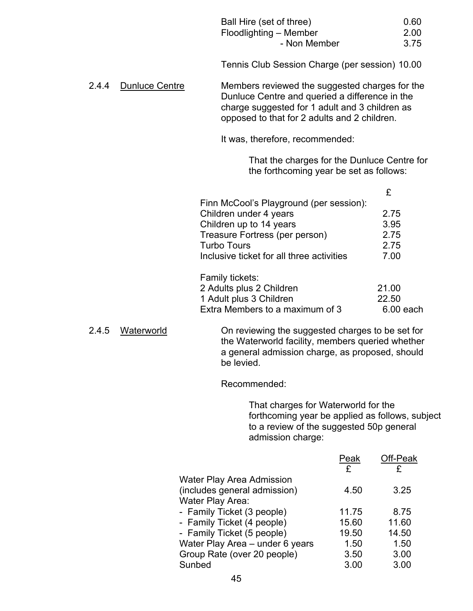|       |                       | Ball Hire (set of three)<br>Floodlighting - Member<br>- Non Member                                                                                                                                 | 0.60<br>2.00<br>3.75 |
|-------|-----------------------|----------------------------------------------------------------------------------------------------------------------------------------------------------------------------------------------------|----------------------|
|       |                       | Tennis Club Session Charge (per session) 10.00                                                                                                                                                     |                      |
| 2.4.4 | <b>Dunluce Centre</b> | Members reviewed the suggested charges for the<br>Dunluce Centre and queried a difference in the<br>charge suggested for 1 adult and 3 children as<br>opposed to that for 2 adults and 2 children. |                      |
|       |                       | It was, therefore, recommended:                                                                                                                                                                    |                      |
|       |                       | That the charges for the Dunluce Centre for<br>the forthcoming year be set as follows:                                                                                                             |                      |
|       |                       |                                                                                                                                                                                                    | £                    |
|       |                       | Finn McCool's Playground (per session):                                                                                                                                                            |                      |
|       |                       | Children under 4 years                                                                                                                                                                             | 2.75                 |
|       |                       | Children up to 14 years                                                                                                                                                                            | 3.95                 |
|       |                       | Treasure Fortress (per person)                                                                                                                                                                     | 2.75                 |
|       |                       | <b>Turbo Tours</b>                                                                                                                                                                                 | 2.75                 |
|       |                       | Inclusive ticket for all three activities                                                                                                                                                          | 7.00                 |
|       |                       | Family tickets:                                                                                                                                                                                    |                      |
|       |                       | 2 Adults plus 2 Children                                                                                                                                                                           | 21.00                |
|       |                       | 1 Adult plus 3 Children                                                                                                                                                                            | 22.50                |
|       |                       | Extra Members to a maximum of 3                                                                                                                                                                    | 6.00 each            |
| 2.4.5 | Waterworld            | On reviewing the suggested charges to be set for<br>the Waterworld facility, members queried whether<br>a general admission charge, as proposed, should                                            |                      |

Recommended:

be levied.

 That charges for Waterworld for the forthcoming year be applied as follows, subject to a review of the suggested 50p general admission charge:

|                                  | Peak  | Off-Peak |
|----------------------------------|-------|----------|
|                                  | £     | £        |
| <b>Water Play Area Admission</b> |       |          |
| (includes general admission)     | 4.50  | 3.25     |
| Water Play Area:                 |       |          |
| - Family Ticket (3 people)       | 11.75 | 8.75     |
| - Family Ticket (4 people)       | 15.60 | 11.60    |
| - Family Ticket (5 people)       | 19.50 | 14.50    |
| Water Play Area - under 6 years  | 1.50  | 1.50     |
| Group Rate (over 20 people)      | 3.50  | 3.00     |
| Sunbed                           | 3.00  | 3.00     |
|                                  |       |          |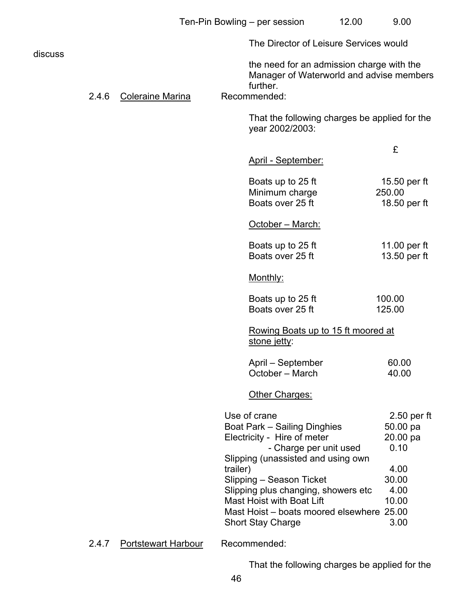|         |       |                     |          | The Director of Leisure Services would                                                                                                                                |                                               |
|---------|-------|---------------------|----------|-----------------------------------------------------------------------------------------------------------------------------------------------------------------------|-----------------------------------------------|
| discuss | 2.4.6 | Coleraine Marina    |          | the need for an admission charge with the<br>Manager of Waterworld and advise members<br>further.<br>Recommended:                                                     |                                               |
|         |       |                     |          | That the following charges be applied for the<br>year 2002/2003:                                                                                                      |                                               |
|         |       |                     |          | April - September:                                                                                                                                                    | £                                             |
|         |       |                     |          | Boats up to 25 ft<br>Minimum charge<br>Boats over 25 ft                                                                                                               | 15.50 per ft<br>250.00<br>18.50 per ft        |
|         |       |                     |          | October - March:                                                                                                                                                      |                                               |
|         |       |                     |          | Boats up to 25 ft<br>Boats over 25 ft                                                                                                                                 | 11.00 per ft<br>13.50 per ft                  |
|         |       |                     |          | Monthly:                                                                                                                                                              |                                               |
|         |       |                     |          | Boats up to 25 ft<br>Boats over 25 ft                                                                                                                                 | 100.00<br>125.00                              |
|         |       |                     |          | Rowing Boats up to 15 ft moored at<br>stone jetty:                                                                                                                    |                                               |
|         |       |                     |          | April – September<br>October - March                                                                                                                                  | 60.00<br>40.00                                |
|         |       |                     |          | Other Charges:                                                                                                                                                        |                                               |
|         |       |                     |          | Use of crane<br><b>Boat Park - Sailing Dinghies</b><br>Electricity - Hire of meter<br>- Charge per unit used<br>Slipping (unassisted and using own                    | $2.50$ per ft<br>50.00 pa<br>20.00 pa<br>0.10 |
|         |       |                     | trailer) | Slipping - Season Ticket<br>Slipping plus changing, showers etc<br>Mast Hoist with Boat Lift<br>Mast Hoist - boats moored elsewhere 25.00<br><b>Short Stay Charge</b> | 4.00<br>30.00<br>4.00<br>10.00<br>3.00        |
|         | 2.4.7 | Portstewart Harbour |          | Recommended:                                                                                                                                                          |                                               |

That the following charges be applied for the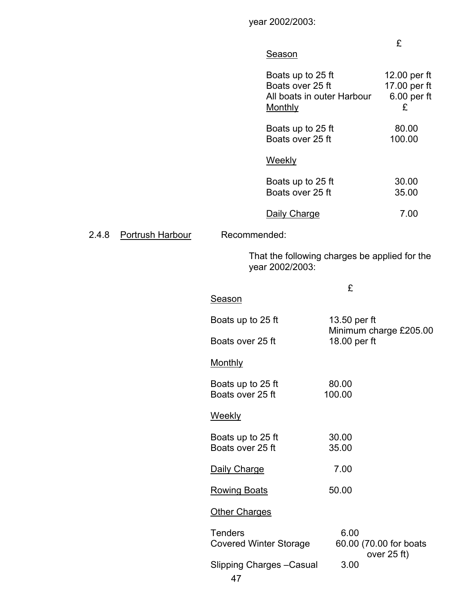year 2002/2003:

#### £

### **Season**

| Boats up to 25 ft<br>Boats over 25 ft<br>All boats in outer Harbour<br>Monthly | 12.00 per ft<br>17.00 per ft<br>$6.00$ per ft<br>£ |
|--------------------------------------------------------------------------------|----------------------------------------------------|
| Boats up to 25 ft<br>Boats over 25 ft                                          | 80.00<br>100.00                                    |
| Weekly                                                                         |                                                    |
| Boats up to 25 ft<br>Boats over 25 ft                                          | 30.00<br>35.00                                     |
| Daily Charge                                                                   | 7.00                                               |

2.4.8 Portrush Harbour Recommended:

 That the following charges be applied for the year 2002/2003:

|                                                 | £                                               |
|-------------------------------------------------|-------------------------------------------------|
| <b>Season</b>                                   |                                                 |
| Boats up to 25 ft                               | 13.50 per ft<br>Minimum charge £205.00          |
| Boats over 25 ft                                | 18.00 per ft                                    |
| <b>Monthly</b>                                  |                                                 |
| Boats up to 25 ft<br>Boats over 25 ft           | 80.00<br>100.00                                 |
| <b>Weekly</b>                                   |                                                 |
| Boats up to 25 ft<br>Boats over 25 ft           | 30.00<br>35.00                                  |
| Daily Charge                                    | 7.00                                            |
| <b>Rowing Boats</b>                             | 50.00                                           |
| <b>Other Charges</b>                            |                                                 |
| <b>Tenders</b><br><b>Covered Winter Storage</b> | 6.00<br>60.00 (70.00 for boats<br>over $25$ ft) |
| <b>Slipping Charges - Casual</b><br>47          | 3.00                                            |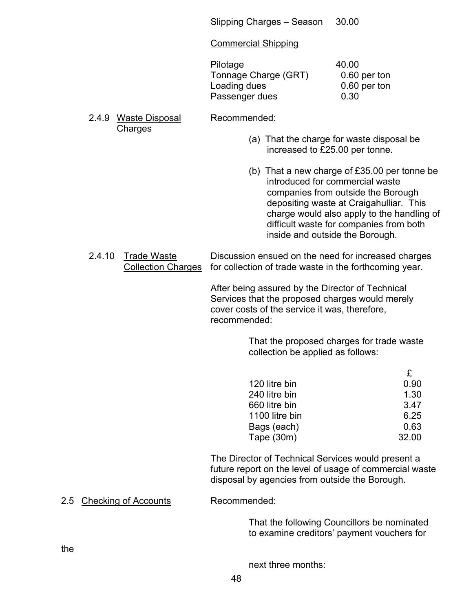Slipping Charges – Season 30.00

#### Commercial Shipping

| Pilotage             | 40.00 |
|----------------------|-------|
| Tonnage Charge (GRT) | 0.60  |
| Loading dues         | 0.60  |
| Passenger dues       | 0.30  |

 $0.60$  per ton  $0.60$  per ton

2.4.9 Waste Disposal Recommended: **Charges** 

- (a) That the charge for waste disposal be increased to £25.00 per tonne.
- (b) That a new charge of £35.00 per tonne be introduced for commercial waste companies from outside the Borough depositing waste at Craigahulliar. This charge would also apply to the handling of difficult waste for companies from both inside and outside the Borough.

2.4.10 Trade Waste Discussion ensued on the need for increased charges Collection Charges for collection of trade waste in the forthcoming year.

> After being assured by the Director of Technical Services that the proposed charges would merely cover costs of the service it was, therefore, recommended:

> > That the proposed charges for trade waste collection be applied as follows:

| £     |
|-------|
| 0.90  |
| 1.30  |
| 3.47  |
| 6.25  |
| 0.63  |
| 32.00 |
|       |

 The Director of Technical Services would present a future report on the level of usage of commercial waste disposal by agencies from outside the Borough.

2.5 Checking of Accounts Recommended:

 That the following Councillors be nominated to examine creditors' payment vouchers for

the

next three months: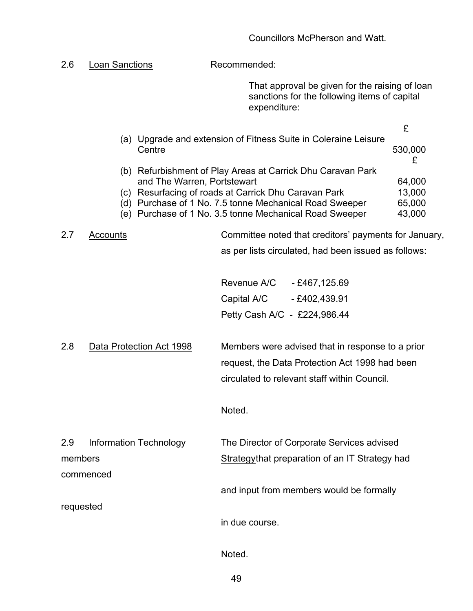2.6 Loan Sanctions Recommended: That approval be given for the raising of loan sanctions for the following items of capital expenditure: £ (a) Upgrade and extension of Fitness Suite in Coleraine Leisure Centre 530,000 £ (b) Refurbishment of Play Areas at Carrick Dhu Caravan Park and The Warren, Portstewart 64,000 (c) Resurfacing of roads at Carrick Dhu Caravan Park 13,000 (d) Purchase of 1 No. 7.5 tonne Mechanical Road Sweeper 65,000 (e) Purchase of 1 No. 3.5 tonne Mechanical Road Sweeper 43,000 2.7 Accounts **Committee noted that creditors' payments for January**, as per lists circulated, had been issued as follows: Revenue A/C - £467,125.69 Capital A/C - £402,439.91 Petty Cash A/C - £224,986.44 2.8 Data Protection Act 1998 Members were advised that in response to a prior request, the Data Protection Act 1998 had been circulated to relevant staff within Council. Noted. 2.9 Information Technology The Director of Corporate Services advised members **Strategythat preparation of an IT Strategy had** commenced and input from members would be formally requested in due course.

Noted.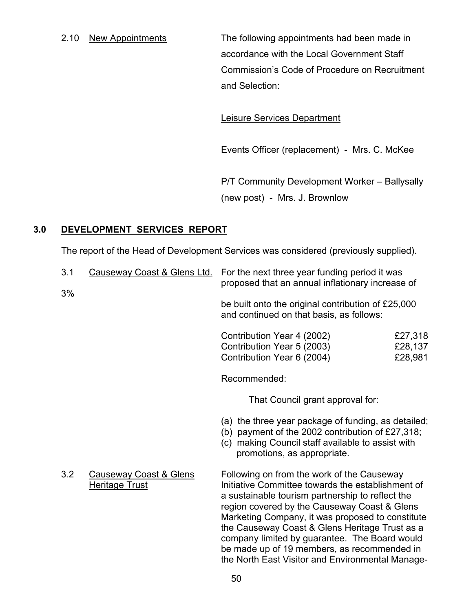2.10 New Appointments The following appointments had been made in accordance with the Local Government Staff Commission's Code of Procedure on Recruitment and Selection:

Leisure Services Department

Events Officer (replacement) - Mrs. C. McKee

 P/T Community Development Worker – Ballysally (new post) - Mrs. J. Brownlow

# **3.0 DEVELOPMENT SERVICES REPORT**

The report of the Head of Development Services was considered (previously supplied).

| 3.1 | Causeway Coast & Glens Ltd.                                | For the next three year funding period it was<br>proposed that an annual inflationary increase of                                                                                                                                                                                                                                                                                                                                                             |                               |
|-----|------------------------------------------------------------|---------------------------------------------------------------------------------------------------------------------------------------------------------------------------------------------------------------------------------------------------------------------------------------------------------------------------------------------------------------------------------------------------------------------------------------------------------------|-------------------------------|
| 3%  |                                                            | be built onto the original contribution of £25,000<br>and continued on that basis, as follows:                                                                                                                                                                                                                                                                                                                                                                |                               |
|     |                                                            | Contribution Year 4 (2002)<br>Contribution Year 5 (2003)<br>Contribution Year 6 (2004)                                                                                                                                                                                                                                                                                                                                                                        | £27,318<br>£28,137<br>£28,981 |
|     |                                                            | Recommended:                                                                                                                                                                                                                                                                                                                                                                                                                                                  |                               |
|     |                                                            | That Council grant approval for:                                                                                                                                                                                                                                                                                                                                                                                                                              |                               |
|     |                                                            | (a) the three year package of funding, as detailed;<br>(b) payment of the 2002 contribution of $£27,318;$<br>(c) making Council staff available to assist with<br>promotions, as appropriate.                                                                                                                                                                                                                                                                 |                               |
| 3.2 | <b>Causeway Coast &amp; Glens</b><br><b>Heritage Trust</b> | Following on from the work of the Causeway<br>Initiative Committee towards the establishment of<br>a sustainable tourism partnership to reflect the<br>region covered by the Causeway Coast & Glens<br>Marketing Company, it was proposed to constitute<br>the Causeway Coast & Glens Heritage Trust as a<br>company limited by guarantee. The Board would<br>be made up of 19 members, as recommended in<br>the North East Visitor and Environmental Manage- |                               |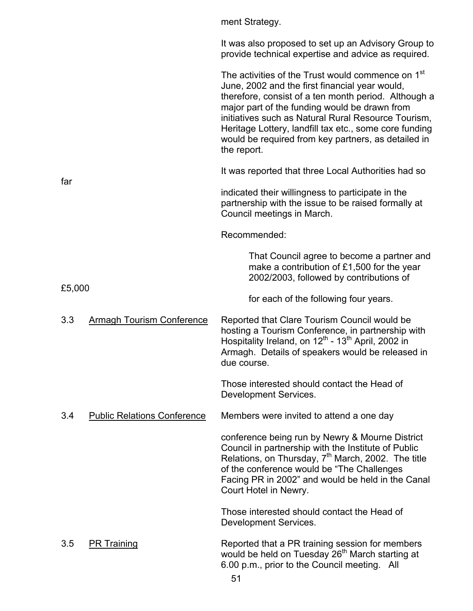|        |                                    | ment Strategy.                                                                                                                                                                                                                                                                                                                                                                                                  |
|--------|------------------------------------|-----------------------------------------------------------------------------------------------------------------------------------------------------------------------------------------------------------------------------------------------------------------------------------------------------------------------------------------------------------------------------------------------------------------|
|        |                                    | It was also proposed to set up an Advisory Group to<br>provide technical expertise and advice as required.                                                                                                                                                                                                                                                                                                      |
|        |                                    | The activities of the Trust would commence on 1 <sup>st</sup><br>June, 2002 and the first financial year would,<br>therefore, consist of a ten month period. Although a<br>major part of the funding would be drawn from<br>initiatives such as Natural Rural Resource Tourism,<br>Heritage Lottery, landfill tax etc., some core funding<br>would be required from key partners, as detailed in<br>the report. |
| far    |                                    | It was reported that three Local Authorities had so                                                                                                                                                                                                                                                                                                                                                             |
|        |                                    | indicated their willingness to participate in the<br>partnership with the issue to be raised formally at<br>Council meetings in March.                                                                                                                                                                                                                                                                          |
|        |                                    | Recommended:                                                                                                                                                                                                                                                                                                                                                                                                    |
|        |                                    | That Council agree to become a partner and<br>make a contribution of $£1,500$ for the year<br>2002/2003, followed by contributions of                                                                                                                                                                                                                                                                           |
| £5,000 |                                    | for each of the following four years.                                                                                                                                                                                                                                                                                                                                                                           |
| 3.3    | <b>Armagh Tourism Conference</b>   | Reported that Clare Tourism Council would be<br>hosting a Tourism Conference, in partnership with<br>Hospitality Ireland, on 12 <sup>th</sup> - 13 <sup>th</sup> April, 2002 in<br>Armagh. Details of speakers would be released in<br>due course.                                                                                                                                                              |
|        |                                    | Those interested should contact the Head of<br>Development Services.                                                                                                                                                                                                                                                                                                                                            |
| 3.4    | <b>Public Relations Conference</b> | Members were invited to attend a one day                                                                                                                                                                                                                                                                                                                                                                        |
|        |                                    | conference being run by Newry & Mourne District<br>Council in partnership with the Institute of Public<br>Relations, on Thursday, 7 <sup>th</sup> March, 2002. The title<br>of the conference would be "The Challenges"<br>Facing PR in 2002" and would be held in the Canal<br>Court Hotel in Newry.                                                                                                           |
|        |                                    | Those interested should contact the Head of<br>Development Services.                                                                                                                                                                                                                                                                                                                                            |
| 3.5    | <b>PR Training</b>                 | Reported that a PR training session for members<br>would be held on Tuesday 26 <sup>th</sup> March starting at<br>6.00 p.m., prior to the Council meeting. All                                                                                                                                                                                                                                                  |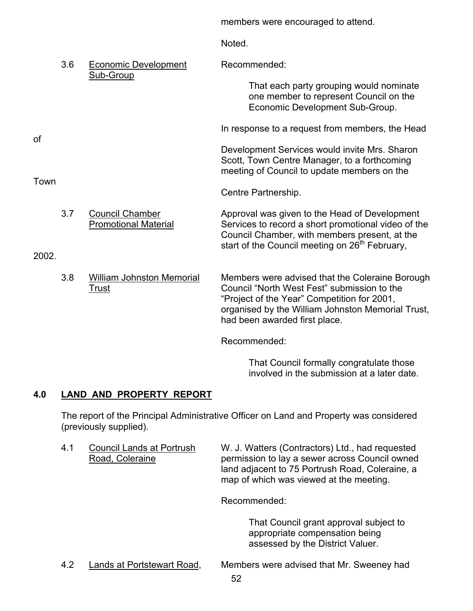members were encouraged to attend. **Noted** 3.6 Economic Development Recommended: Sub-Group That each party grouping would nominate one member to represent Council on the Economic Development Sub-Group. In response to a request from members, the Head Development Services would invite Mrs. Sharon Scott, Town Centre Manager, to a forthcoming meeting of Council to update members on the Centre Partnership. 3.7 Council Chamber Approval was given to the Head of Development Promotional Material Services to record a short promotional video of the Council Chamber, with members present, at the

2002.

Town

of

 3.8 William Johnston Memorial Members were advised that the Coleraine Borough Trust Council "North West Fest" submission to the "Project of the Year" Competition for 2001, organised by the William Johnston Memorial Trust, had been awarded first place.

start of the Council meeting on 26<sup>th</sup> February,

Recommended:

 That Council formally congratulate those involved in the submission at a later date.

# **4.0 LAND AND PROPERTY REPORT**

The report of the Principal Administrative Officer on Land and Property was considered (previously supplied).

4.1 Council Lands at Portrush W. J. Watters (Contractors) Ltd., had requested Road, Coleraine **permission to lay a sewer across Council owned**  land adjacent to 75 Portrush Road, Coleraine, a map of which was viewed at the meeting.

Recommended:

 That Council grant approval subject to appropriate compensation being assessed by the District Valuer.

- 
- 4.2 Lands at Portstewart Road, Members were advised that Mr. Sweeney had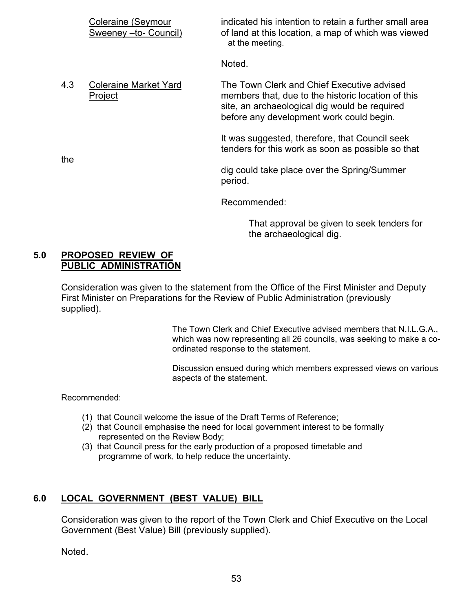|     | Coleraine (Seymour<br>Sweeney - to- Council) | indicated his intention to retain a further small area<br>of land at this location, a map of which was viewed<br>at the meeting.                                                              |
|-----|----------------------------------------------|-----------------------------------------------------------------------------------------------------------------------------------------------------------------------------------------------|
|     |                                              | Noted.                                                                                                                                                                                        |
| 4.3 | <b>Coleraine Market Yard</b><br>Project      | The Town Clerk and Chief Executive advised<br>members that, due to the historic location of this<br>site, an archaeological dig would be required<br>before any development work could begin. |
| the |                                              | It was suggested, therefore, that Council seek<br>tenders for this work as soon as possible so that                                                                                           |
|     |                                              | dig could take place over the Spring/Summer<br>period.                                                                                                                                        |
|     |                                              | Recommended:                                                                                                                                                                                  |

 That approval be given to seek tenders for the archaeological dig.

#### **5.0 PROPOSED REVIEW OF PUBLIC ADMINISTRATION**

Consideration was given to the statement from the Office of the First Minister and Deputy First Minister on Preparations for the Review of Public Administration (previously supplied).

> The Town Clerk and Chief Executive advised members that N.I.L.G.A., which was now representing all 26 councils, was seeking to make a coordinated response to the statement.

> Discussion ensued during which members expressed views on various aspects of the statement.

Recommended:

- (1) that Council welcome the issue of the Draft Terms of Reference;
- (2) that Council emphasise the need for local government interest to be formally represented on the Review Body;
- (3) that Council press for the early production of a proposed timetable and programme of work, to help reduce the uncertainty.

# **6.0 LOCAL GOVERNMENT (BEST VALUE) BILL**

Consideration was given to the report of the Town Clerk and Chief Executive on the Local Government (Best Value) Bill (previously supplied).

Noted.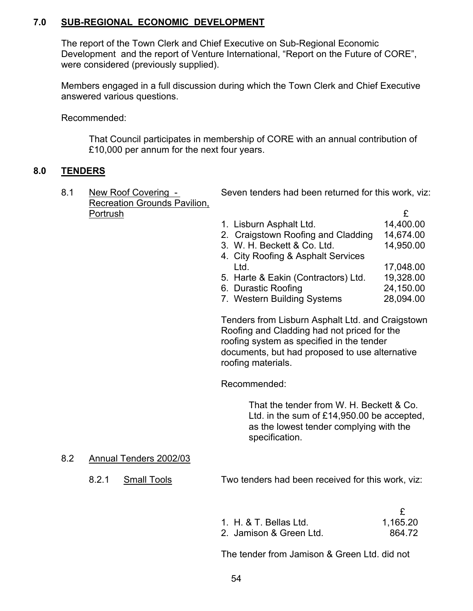# **7.0 SUB-REGIONAL ECONOMIC DEVELOPMENT**

The report of the Town Clerk and Chief Executive on Sub-Regional Economic Development and the report of Venture International, "Report on the Future of CORE", were considered (previously supplied).

Members engaged in a full discussion during which the Town Clerk and Chief Executive answered various questions.

Recommended:

 That Council participates in membership of CORE with an annual contribution of £10,000 per annum for the next four years.

### **8.0 TENDERS**

| New Roof Covering -          | Seven tenders had been returned for this work, viz: |           |  |
|------------------------------|-----------------------------------------------------|-----------|--|
| Recreation Grounds Pavilion, |                                                     |           |  |
| Portrush                     |                                                     |           |  |
|                              | 1. Lisburn Asphalt Ltd.                             | 14,400.00 |  |
|                              | 2. Craigstown Roofing and Cladding                  | 14,674.00 |  |
|                              | 3. W. H. Beckett & Co. Ltd.                         | 14,950.00 |  |
|                              | 4. City Roofing & Asphalt Services                  |           |  |
|                              | Ltd.                                                | 17,048.00 |  |
|                              | 5. Harte & Eakin (Contractors) Ltd.                 | 19,328.00 |  |
|                              |                                                     |           |  |

- 6. Durastic Roofing 24,150.00
- 7. Western Building Systems 28,094.00

 Tenders from Lisburn Asphalt Ltd. and Craigstown Roofing and Cladding had not priced for the roofing system as specified in the tender documents, but had proposed to use alternative roofing materials.

Recommended:

 That the tender from W. H. Beckett & Co. Ltd. in the sum of £14,950.00 be accepted, as the lowest tender complying with the specification.

#### 8.2 Annual Tenders 2002/03

8.2.1 Small Tools Two tenders had been received for this work, viz:

| 1. H. & T. Bellas Ltd.  | 1,165.20 |
|-------------------------|----------|
| 2. Jamison & Green Ltd. | 864.72   |

The tender from Jamison & Green Ltd. did not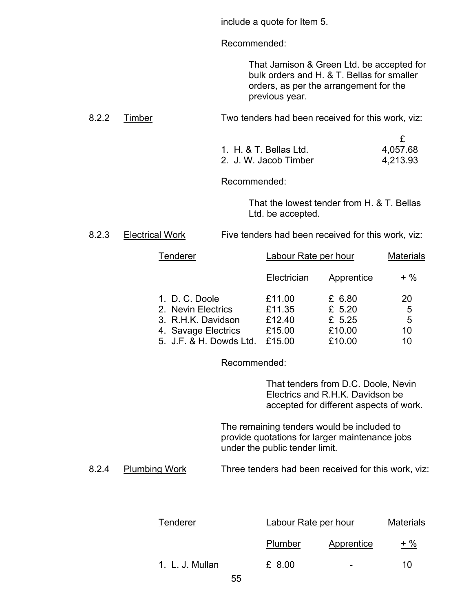include a quote for Item 5.

Recommended:

 That Jamison & Green Ltd. be accepted for bulk orders and H. & T. Bellas for smaller orders, as per the arrangement for the previous year.

8.2.2 Timber Two tenders had been received for this work, viz:

| 1. H. & T. Bellas Ltd. | 4,057.68 |
|------------------------|----------|
| 2. J. W. Jacob Timber  | 4,213.93 |

Recommended:

 That the lowest tender from H. & T. Bellas Ltd. be accepted.

# 8.2.3 Electrical Work Five tenders had been received for this work, viz:

| Tenderer                | Labour Rate per hour |            |                 |  | <b>Materials</b> |  |
|-------------------------|----------------------|------------|-----------------|--|------------------|--|
|                         | Electrician          | Apprentice | $+ \frac{9}{6}$ |  |                  |  |
| 1. D. C. Doole          | £11.00               | £ 6.80     | 20              |  |                  |  |
| 2. Nevin Electrics      | £11.35               | £ $5.20$   | 5               |  |                  |  |
| 3. R.H.K. Davidson      | £12.40               | £ 5.25     | 5               |  |                  |  |
| 4. Savage Electrics     | £15.00               | £10.00     | 10              |  |                  |  |
| 5. J.F. & H. Dowds Ltd. | £15.00               | £10.00     | 10              |  |                  |  |

Recommended:

 That tenders from D.C. Doole, Nevin Electrics and R.H.K. Davidson be accepted for different aspects of work.

 The remaining tenders would be included to provide quotations for larger maintenance jobs under the public tender limit.

8.2.4 Plumbing Work Three tenders had been received for this work, viz:

| Tenderer        |    | Labour Rate per hour |                          | <b>Materials</b> |
|-----------------|----|----------------------|--------------------------|------------------|
|                 |    | Plumber              | Apprentice               | $+ \frac{9}{6}$  |
| 1. L. J. Mullan |    | £ 8.00               | $\overline{\phantom{0}}$ | 10               |
|                 | -- |                      |                          |                  |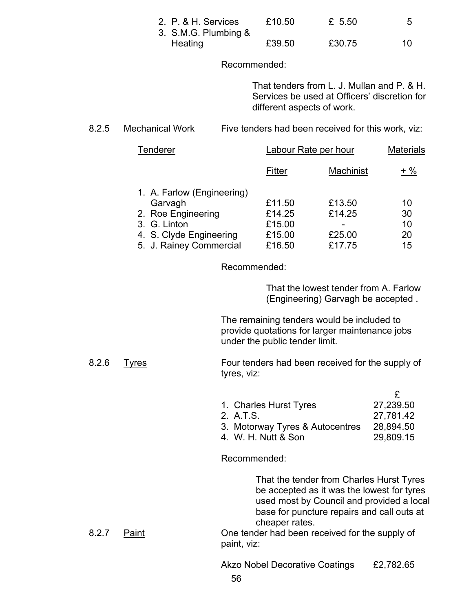| 2. P. & H. Services  | £10.50 | £ 5.50 |    |
|----------------------|--------|--------|----|
| 3. S.M.G. Plumbing & |        |        |    |
| Heating              | £39.50 | £30.75 | 10 |

#### Recommended:

 That tenders from L. J. Mullan and P. & H. Services be used at Officers' discretion for different aspects of work.

#### 8.2.5 Mechanical Work Five tenders had been received for this work, viz:

| <b>Tenderer</b>            | Labour Rate per hour |           | <b>Materials</b> |
|----------------------------|----------------------|-----------|------------------|
|                            | Fitter               | Machinist | $+$ %            |
| 1. A. Farlow (Engineering) |                      |           |                  |
| Garvagh                    | £11.50               | £13.50    | 10               |
| 2. Roe Engineering         | £14.25               | £14.25    | 30               |
| 3. G. Linton               | £15.00               |           | 10               |
| 4. S. Clyde Engineering    | £15.00               | £25.00    | 20               |
| 5. J. Rainey Commercial    | £16.50               | £17.75    | 15               |

Recommended:

 That the lowest tender from A. Farlow (Engineering) Garvagh be accepted .

 The remaining tenders would be included to provide quotations for larger maintenance jobs under the public tender limit.

#### 8.2.6 Tyres Four tenders had been received for the supply of tyres, viz:

| 1. Charles Hurst Tyres          | 27,239.50 |
|---------------------------------|-----------|
| 2. A.T.S.                       | 27,781.42 |
| 3. Motorway Tyres & Autocentres | 28,894.50 |
| 4. W. H. Nutt & Son             | 29,809.15 |
|                                 |           |

Recommended:

 That the tender from Charles Hurst Tyres be accepted as it was the lowest for tyres used most by Council and provided a local base for puncture repairs and call outs at cheaper rates.

8.2.7 Paint Done tender had been received for the supply of paint, viz:

Akzo Nobel Decorative Coatings £2,782.65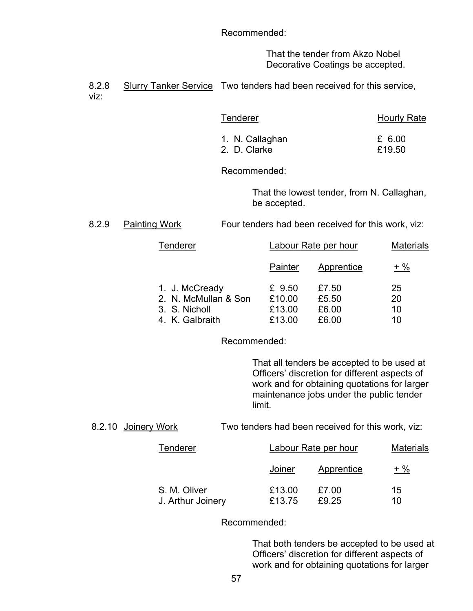Recommended:

 That the tender from Akzo Nobel Decorative Coatings be accepted.

8.2.8 Slurry Tanker Service Two tenders had been received for this service, viz:

| <b>Tenderer</b> | <b>Hourly Rate</b> |  |
|-----------------|--------------------|--|
| 1. N. Callaghan | £ 6.00             |  |
| 2. D. Clarke    | £19.50             |  |

Recommended:

 That the lowest tender, from N. Callaghan, be accepted.

8.2.9 Painting Work Four tenders had been received for this work, viz:

| Tenderer                                                                   | Labour Rate per hour                 |                                  | <b>Materials</b>     |
|----------------------------------------------------------------------------|--------------------------------------|----------------------------------|----------------------|
|                                                                            | Painter                              | Apprentice                       | + %                  |
| 1. J. McCready<br>2. N. McMullan & Son<br>3. S. Nicholl<br>4. K. Galbraith | £ 9.50<br>£10.00<br>£13.00<br>£13.00 | £7.50<br>£5.50<br>£6.00<br>£6.00 | 25<br>20<br>10<br>10 |

Recommended:

 That all tenders be accepted to be used at Officers' discretion for different aspects of work and for obtaining quotations for larger maintenance jobs under the public tender limit.

8.2.10 Joinery Work Two tenders had been received for this work, viz:

| Tenderer                          | Labour Rate per hour |                | <b>Materials</b> |
|-----------------------------------|----------------------|----------------|------------------|
|                                   | Joiner               | Apprentice     | $+$ %            |
| S. M. Oliver<br>J. Arthur Joinery | £13.00<br>£13.75     | £7.00<br>£9.25 | 15<br>10         |

Recommended:

 That both tenders be accepted to be used at Officers' discretion for different aspects of work and for obtaining quotations for larger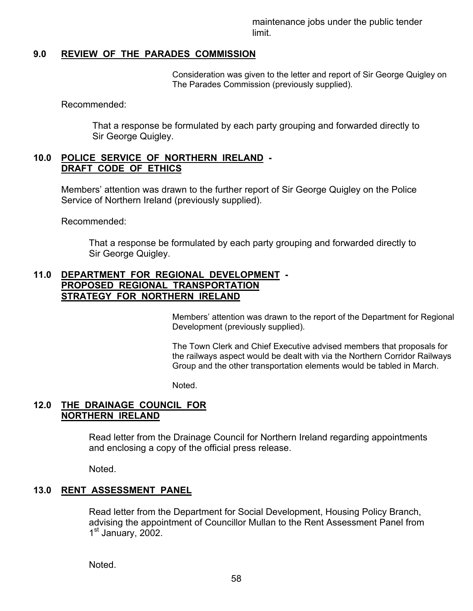maintenance jobs under the public tender limit.

#### **9.0 REVIEW OF THE PARADES COMMISSION**

Consideration was given to the letter and report of Sir George Quigley on The Parades Commission (previously supplied).

Recommended:

 That a response be formulated by each party grouping and forwarded directly to Sir George Quigley.

#### **10.0 POLICE SERVICE OF NORTHERN IRELAND - DRAFT CODE OF ETHICS**

Members' attention was drawn to the further report of Sir George Quigley on the Police Service of Northern Ireland (previously supplied).

Recommended:

 That a response be formulated by each party grouping and forwarded directly to Sir George Quigley.

#### **11.0 DEPARTMENT FOR REGIONAL DEVELOPMENT - PROPOSED REGIONAL TRANSPORTATION STRATEGY FOR NORTHERN IRELAND**

Members' attention was drawn to the report of the Department for Regional Development (previously supplied).

The Town Clerk and Chief Executive advised members that proposals for the railways aspect would be dealt with via the Northern Corridor Railways Group and the other transportation elements would be tabled in March.

Noted.

### **12.0 THE DRAINAGE COUNCIL FOR NORTHERN IRELAND**

 Read letter from the Drainage Council for Northern Ireland regarding appointments and enclosing a copy of the official press release.

Noted.

#### **13.0 RENT ASSESSMENT PANEL**

 Read letter from the Department for Social Development, Housing Policy Branch, advising the appointment of Councillor Mullan to the Rent Assessment Panel from 1<sup>st</sup> January, 2002.

Noted.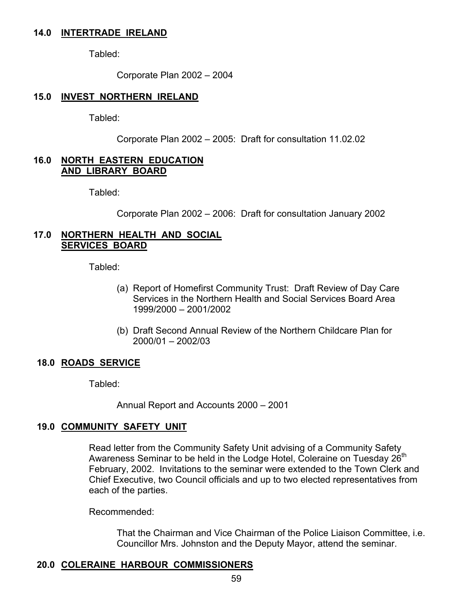#### **14.0 INTERTRADE IRELAND**

Tabled:

Corporate Plan 2002 – 2004

#### **15.0 INVEST NORTHERN IRELAND**

Tabled:

Corporate Plan 2002 – 2005: Draft for consultation 11.02.02

#### **16.0 NORTH EASTERN EDUCATION AND LIBRARY BOARD**

Tabled:

Corporate Plan 2002 – 2006: Draft for consultation January 2002

#### **17.0 NORTHERN HEALTH AND SOCIAL SERVICES BOARD**

Tabled:

- (a) Report of Homefirst Community Trust: Draft Review of Day Care Services in the Northern Health and Social Services Board Area 1999/2000 – 2001/2002
- (b) Draft Second Annual Review of the Northern Childcare Plan for 2000/01 – 2002/03

#### **18.0 ROADS SERVICE**

Tabled:

Annual Report and Accounts 2000 – 2001

#### **19.0 COMMUNITY SAFETY UNIT**

 Read letter from the Community Safety Unit advising of a Community Safety Awareness Seminar to be held in the Lodge Hotel, Coleraine on Tuesday 26<sup>th</sup> February, 2002. Invitations to the seminar were extended to the Town Clerk and Chief Executive, two Council officials and up to two elected representatives from each of the parties.

Recommended:

 That the Chairman and Vice Chairman of the Police Liaison Committee, i.e. Councillor Mrs. Johnston and the Deputy Mayor, attend the seminar.

#### **20.0 COLERAINE HARBOUR COMMISSIONERS**